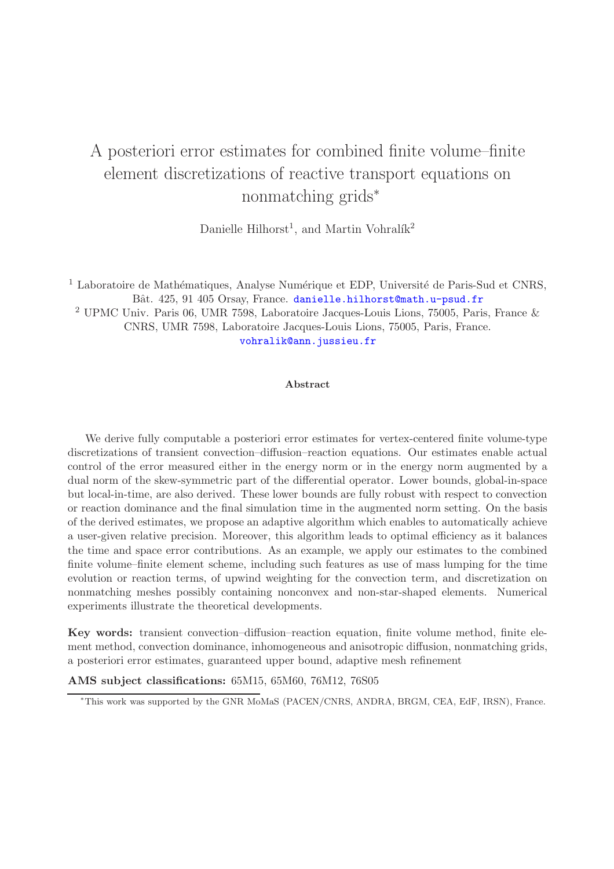# A posteriori error estimates for combined finite volume–finite element discretizations of reactive transport equations on nonmatching grids<sup>∗</sup>

Danielle Hilhorst<sup>1</sup>, and Martin Vohralík<sup>2</sup>

 $<sup>1</sup>$  Laboratoire de Mathématiques, Analyse Numérique et EDP, Université de Paris-Sud et CNRS,</sup> Bât. 425, 91 405 Orsay, France. [danielle.hilhorst@math.u-psud.fr](mailto:danielle.hilhorst@math.u-psud.fr)

<sup>2</sup> UPMC Univ. Paris 06, UMR 7598, Laboratoire Jacques-Louis Lions, 75005, Paris, France & CNRS, UMR 7598, Laboratoire Jacques-Louis Lions, 75005, Paris, France. [vohralik@ann.jussieu.fr](mailto:vohralik@ann.jussieu.fr)

#### Abstract

We derive fully computable a posteriori error estimates for vertex-centered finite volume-type discretizations of transient convection–diffusion–reaction equations. Our estimates enable actual control of the error measured either in the energy norm or in the energy norm augmented by a dual norm of the skew-symmetric part of the differential operator. Lower bounds, global-in-space but local-in-time, are also derived. These lower bounds are fully robust with respect to convection or reaction dominance and the final simulation time in the augmented norm setting. On the basis of the derived estimates, we propose an adaptive algorithm which enables to automatically achieve a user-given relative precision. Moreover, this algorithm leads to optimal efficiency as it balances the time and space error contributions. As an example, we apply our estimates to the combined finite volume–finite element scheme, including such features as use of mass lumping for the time evolution or reaction terms, of upwind weighting for the convection term, and discretization on nonmatching meshes possibly containing nonconvex and non-star-shaped elements. Numerical experiments illustrate the theoretical developments.

Key words: transient convection–diffusion–reaction equation, finite volume method, finite element method, convection dominance, inhomogeneous and anisotropic diffusion, nonmatching grids, a posteriori error estimates, guaranteed upper bound, adaptive mesh refinement

AMS subject classifications: 65M15, 65M60, 76M12, 76S05

<sup>∗</sup>This work was supported by the GNR MoMaS (PACEN/CNRS, ANDRA, BRGM, CEA, EdF, IRSN), France.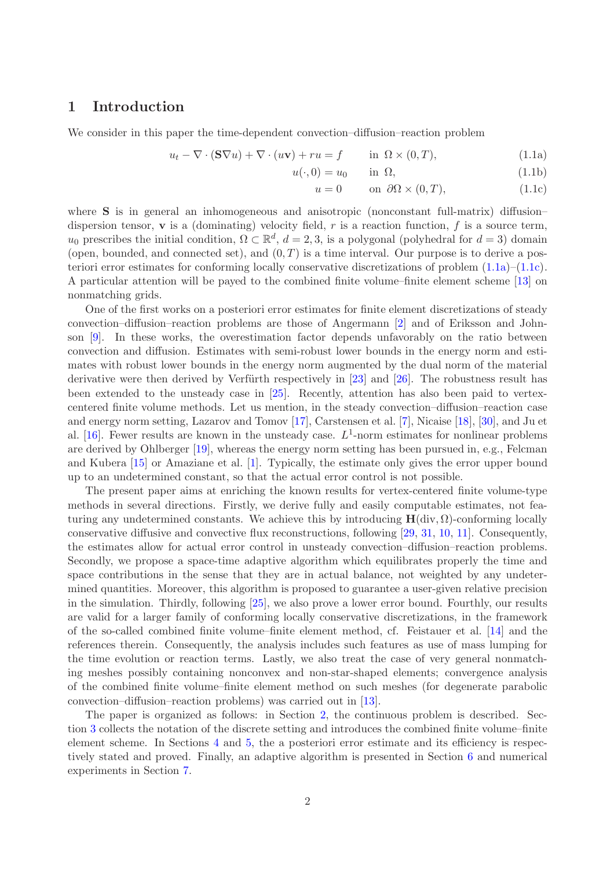# 1 Introduction

We consider in this paper the time-dependent convection–diffusion–reaction problem

$$
u_t - \nabla \cdot (\mathbf{S} \nabla u) + \nabla \cdot (u\mathbf{v}) + ru = f \qquad \text{in } \Omega \times (0, T), \tag{1.1a}
$$

$$
u(\cdot,0) = u_0 \qquad \text{in } \Omega,\tag{1.1b}
$$

<span id="page-1-1"></span><span id="page-1-0"></span>
$$
u = 0 \qquad \text{on } \partial\Omega \times (0, T), \tag{1.1c}
$$

where **S** is in general an inhomogeneous and anisotropic (nonconstant full-matrix) diffusion– dispersion tensor, **v** is a (dominating) velocity field, r is a reaction function, f is a source term,  $u_0$  prescribes the initial condition,  $\Omega \subset \mathbb{R}^d$ ,  $d = 2, 3$ , is a polygonal (polyhedral for  $d = 3$ ) domain (open, bounded, and connected set), and  $(0, T)$  is a time interval. Our purpose is to derive a posteriori error estimates for conforming locally conservative discretizations of problem [\(1.1a\)](#page-1-0)–[\(1.1c\)](#page-1-1). A particular attention will be payed to the combined finite volume–finite element scheme [\[13\]](#page-24-0) on nonmatching grids.

One of the first works on a posteriori error estimates for finite element discretizations of steady convection–diffusion–reaction problems are those of Angermann [\[2\]](#page-20-0) and of Eriksson and Johnson [\[9\]](#page-24-1). In these works, the overestimation factor depends unfavorably on the ratio between convection and diffusion. Estimates with semi-robust lower bounds in the energy norm and estimates with robust lower bounds in the energy norm augmented by the dual norm of the material derivative were then derived by Verfürth respectively in  $[23]$  and  $[26]$ . The robustness result has been extended to the unsteady case in [\[25\]](#page-25-2). Recently, attention has also been paid to vertexcentered finite volume methods. Let us mention, in the steady convection–diffusion–reaction case and energy norm setting, Lazarov and Tomov [\[17\]](#page-24-2), Carstensen et al. [\[7\]](#page-24-3), Nicaise [\[18\]](#page-24-4), [\[30\]](#page-25-3), and Ju et al. [\[16\]](#page-24-5). Fewer results are known in the unsteady case.  $L^1$ -norm estimates for nonlinear problems are derived by Ohlberger [\[19\]](#page-24-6), whereas the energy norm setting has been pursued in, e.g., Felcman and Kubera [\[15\]](#page-24-7) or Amaziane et al. [\[1\]](#page-20-1). Typically, the estimate only gives the error upper bound up to an undetermined constant, so that the actual error control is not possible.

The present paper aims at enriching the known results for vertex-centered finite volume-type methods in several directions. Firstly, we derive fully and easily computable estimates, not featuring any undetermined constants. We achieve this by introducing  $H(\text{div}, \Omega)$ -conforming locally conservative diffusive and convective flux reconstructions, following [\[29,](#page-25-4) [31,](#page-25-5) [10,](#page-24-8) [11\]](#page-24-9). Consequently, the estimates allow for actual error control in unsteady convection–diffusion–reaction problems. Secondly, we propose a space-time adaptive algorithm which equilibrates properly the time and space contributions in the sense that they are in actual balance, not weighted by any undetermined quantities. Moreover, this algorithm is proposed to guarantee a user-given relative precision in the simulation. Thirdly, following [\[25\]](#page-25-2), we also prove a lower error bound. Fourthly, our results are valid for a larger family of conforming locally conservative discretizations, in the framework of the so-called combined finite volume–finite element method, cf. Feistauer et al. [\[14\]](#page-24-10) and the references therein. Consequently, the analysis includes such features as use of mass lumping for the time evolution or reaction terms. Lastly, we also treat the case of very general nonmatching meshes possibly containing nonconvex and non-star-shaped elements; convergence analysis of the combined finite volume–finite element method on such meshes (for degenerate parabolic convection–diffusion–reaction problems) was carried out in [\[13\]](#page-24-0).

The paper is organized as follows: in Section [2,](#page-2-0) the continuous problem is described. Section [3](#page-3-0) collects the notation of the discrete setting and introduces the combined finite volume–finite element scheme. In Sections [4](#page-7-0) and [5,](#page-12-0) the a posteriori error estimate and its efficiency is respectively stated and proved. Finally, an adaptive algorithm is presented in Section [6](#page-17-0) and numerical experiments in Section [7.](#page-19-0)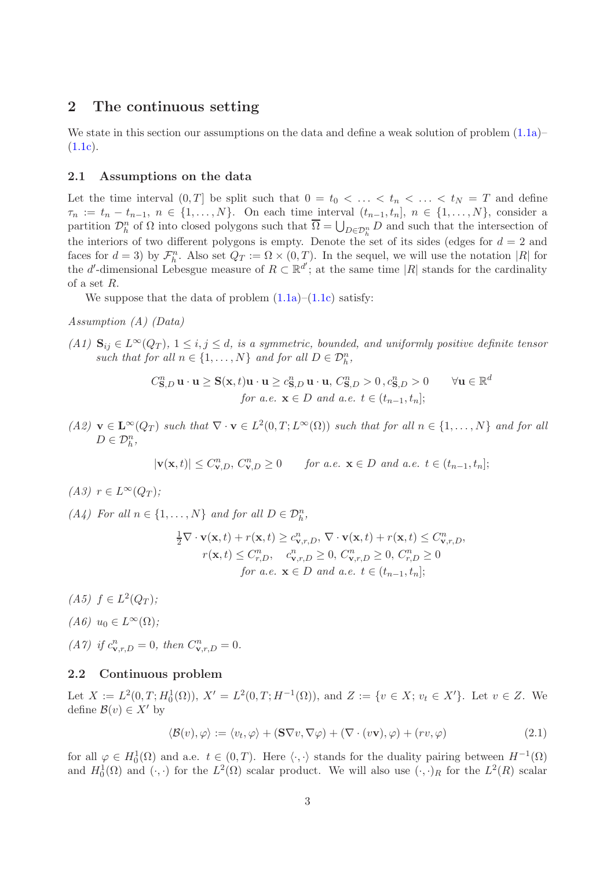# <span id="page-2-0"></span>2 The continuous setting

We state in this section our assumptions on the data and define a weak solution of problem  $(1.1a)$  $(1.1c).$  $(1.1c).$ 

#### <span id="page-2-1"></span>2.1 Assumptions on the data

Let the time interval  $(0,T]$  be split such that  $0 = t_0 < \ldots < t_n < \ldots < t_N = T$  and define  $\tau_n := t_n - t_{n-1}, \ n \in \{1, ..., N\}.$  On each time interval  $(t_{n-1}, t_n], \ n \in \{1, ..., N\}$ , consider a partition  $\mathcal{D}_h^n$  of  $\Omega$  into closed polygons such that  $\overline{\Omega} = \bigcup_{D \in \mathcal{D}_h^n} D$  and such that the intersection of the interiors of two different polygons is empty. Denote the set of its sides (edges for  $d = 2$  and faces for  $d = 3$ ) by  $\mathcal{F}_h^n$ . Also set  $Q_T := \Omega \times (0, T)$ . In the sequel, we will use the notation |R| for the d'-dimensional Lebesgue measure of  $R \subset \mathbb{R}^{d'}$ ; at the same time |R| stands for the cardinality of a set R.

We suppose that the data of problem  $(1.1a)$ – $(1.1c)$  satisfy:

Assumption (A) (Data)

(A1)  $\mathbf{S}_{ij} \in L^{\infty}(Q_T)$ ,  $1 \leq i, j \leq d$ , is a symmetric, bounded, and uniformly positive definite tensor such that for all  $n \in \{1, ..., N\}$  and for all  $D \in \mathcal{D}_h^n$ ,

$$
C_{\mathbf{S},D}^{n} \mathbf{u} \cdot \mathbf{u} \geq \mathbf{S}(\mathbf{x},t)\mathbf{u} \cdot \mathbf{u} \geq c_{\mathbf{S},D}^{n} \mathbf{u} \cdot \mathbf{u}, C_{\mathbf{S},D}^{n} > 0, c_{\mathbf{S},D}^{n} > 0 \quad \forall \mathbf{u} \in \mathbb{R}^{d}
$$
  
for a.e.  $\mathbf{x} \in D$  and a.e.  $t \in (t_{n-1}, t_n];$ 

 $(A2)$   $\mathbf{v} \in \mathbf{L}^{\infty}(Q_T)$  such that  $\nabla \cdot \mathbf{v} \in L^2(0,T;L^{\infty}(\Omega))$  such that for all  $n \in \{1,\ldots,N\}$  and for all  $D \in \mathcal{D}_h^n$ ,

$$
|\mathbf{v}(\mathbf{x},t)| \le C_{\mathbf{v},D}^n, C_{\mathbf{v},D}^n \ge 0 \quad \text{for a.e. } \mathbf{x} \in D \text{ and a.e. } t \in (t_{n-1}, t_n];
$$

 $(A3)$   $r \in L^{\infty}(Q_T);$ 

(A4) For all  $n \in \{1, ..., N\}$  and for all  $D \in \mathcal{D}_h^n$ ,

$$
\frac{1}{2}\nabla \cdot \mathbf{v}(\mathbf{x},t) + r(\mathbf{x},t) \ge c_{\mathbf{v},r,D}^n, \nabla \cdot \mathbf{v}(\mathbf{x},t) + r(\mathbf{x},t) \le C_{\mathbf{v},r,D}^n, \nr(\mathbf{x},t) \le C_{r,D}^n, \quad c_{\mathbf{v},r,D}^n \ge 0, C_{\mathbf{v},r,D}^n \ge 0, C_{r,D}^n \ge 0 \nfor a.e. \mathbf{x} \in D \text{ and a.e. } t \in (t_{n-1}, t_n];
$$

(A5)  $f \in L^2(Q_T)$ ;

$$
(A6) u_0 \in L^{\infty}(\Omega);
$$

(A7) if  $c^n_{\mathbf{v},r,D} = 0$ , then  $C^n_{\mathbf{v},r,D} = 0$ .

## 2.2 Continuous problem

Let  $X := L^2(0,T; H_0^1(\Omega))$ ,  $X' = L^2(0,T; H^{-1}(\Omega))$ , and  $Z := \{v \in X; v_t \in X'\}$ . Let  $v \in Z$ . We define  $\mathcal{B}(v) \in X'$  by

<span id="page-2-2"></span>
$$
\langle \mathcal{B}(v), \varphi \rangle := \langle v_t, \varphi \rangle + (\mathbf{S} \nabla v, \nabla \varphi) + (\nabla \cdot (v\mathbf{v}), \varphi) + (rv, \varphi) \tag{2.1}
$$

for all  $\varphi \in H_0^1(\Omega)$  and a.e.  $t \in (0,T)$ . Here  $\langle \cdot, \cdot \rangle$  stands for the duality pairing between  $H^{-1}(\Omega)$ and  $H_0^1(\Omega)$  and  $(\cdot, \cdot)$  for the  $L^2(\Omega)$  scalar product. We will also use  $(\cdot, \cdot)_R$  for the  $L^2(R)$  scalar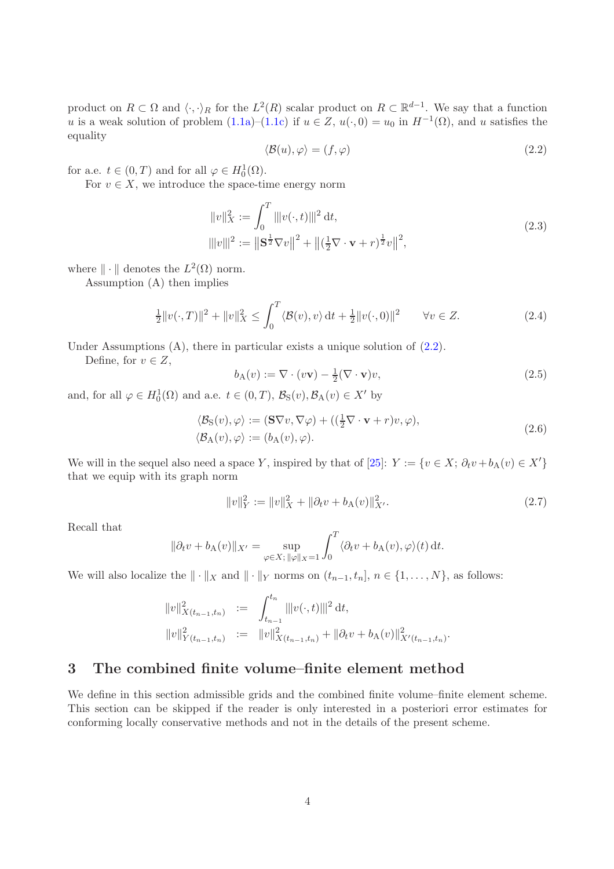product on  $R \subset \Omega$  and  $\langle \cdot, \cdot \rangle_R$  for the  $L^2(R)$  scalar product on  $R \subset \mathbb{R}^{d-1}$ . We say that a function u is a weak solution of problem  $(1.1a)$ – $(1.1c)$  if  $u \in Z$ ,  $u(\cdot, 0) = u_0$  in  $H^{-1}(\Omega)$ , and u satisfies the equality

<span id="page-3-1"></span>
$$
\langle \mathcal{B}(u), \varphi \rangle = (f, \varphi) \tag{2.2}
$$

for a.e.  $t \in (0, T)$  and for all  $\varphi \in H_0^1(\Omega)$ .

<span id="page-3-4"></span>For  $v \in X$ , we introduce the space-time energy norm

$$
\|v\|_X^2 := \int_0^T \|v(\cdot, t)\|^2 dt,
$$
  

$$
\|v\|^2 := \|\mathbf{S}^{\frac{1}{2}} \nabla v\|^2 + \|(\frac{1}{2}\nabla \cdot \mathbf{v} + r)^{\frac{1}{2}} v\|^2,
$$
 (2.3)

where  $\|\cdot\|$  denotes the  $L^2(\Omega)$  norm.

Assumption (A) then implies

<span id="page-3-3"></span>
$$
\frac{1}{2}||v(\cdot,T)||^2 + ||v||_X^2 \le \int_0^T \langle \mathcal{B}(v), v \rangle dt + \frac{1}{2}||v(\cdot,0)||^2 \qquad \forall v \in Z.
$$
 (2.4)

Under Assumptions  $(A)$ , there in particular exists a unique solution of  $(2.2)$ .

Define, for  $v \in Z$ ,

$$
b_{A}(v) := \nabla \cdot (v\mathbf{v}) - \frac{1}{2} (\nabla \cdot \mathbf{v}) v,
$$
\n(2.5)

<span id="page-3-5"></span>and, for all  $\varphi \in H_0^1(\Omega)$  and a.e.  $t \in (0, T)$ ,  $\mathcal{B}_S(v)$ ,  $\mathcal{B}_A(v) \in X'$  by

$$
\langle \mathcal{B}_{\mathcal{S}}(v), \varphi \rangle := (\mathbf{S} \nabla v, \nabla \varphi) + ((\frac{1}{2} \nabla \cdot \mathbf{v} + r)v, \varphi), \langle \mathcal{B}_{\mathcal{A}}(v), \varphi \rangle := (b_{\mathcal{A}}(v), \varphi).
$$
\n(2.6)

We will in the sequel also need a space Y, inspired by that of [\[25\]](#page-25-2):  $Y := \{v \in X; \partial_t v + b_A(v) \in X'\}$ that we equip with its graph norm

<span id="page-3-2"></span>
$$
||v||_Y^2 := ||v||_X^2 + ||\partial_t v + b_A(v)||_{X'}^2.
$$
\n(2.7)

Recall that

$$
\|\partial_t v + b_A(v)\|_{X'} = \sup_{\varphi \in X; \, \|\varphi\|_X = 1} \int_0^T \langle \partial_t v + b_A(v), \varphi \rangle(t) dt.
$$

We will also localize the  $\|\cdot\|_X$  and  $\|\cdot\|_Y$  norms on  $(t_{n-1}, t_n], n \in \{1, ..., N\}$ , as follows:

$$
\begin{aligned}\n||v||_{X(t_{n-1},t_n)}^2 &:= \int_{t_{n-1}}^{t_n} |||v(\cdot,t)|||^2 \, \mathrm{d}t, \\
||v||_{Y(t_{n-1},t_n)}^2 &:= \quad ||v||_{X(t_{n-1},t_n)}^2 + ||\partial_t v + b_A(v)||_{X'(t_{n-1},t_n)}^2.\n\end{aligned}
$$

# <span id="page-3-0"></span>3 The combined finite volume–finite element method

We define in this section admissible grids and the combined finite volume–finite element scheme. This section can be skipped if the reader is only interested in a posteriori error estimates for conforming locally conservative methods and not in the details of the present scheme.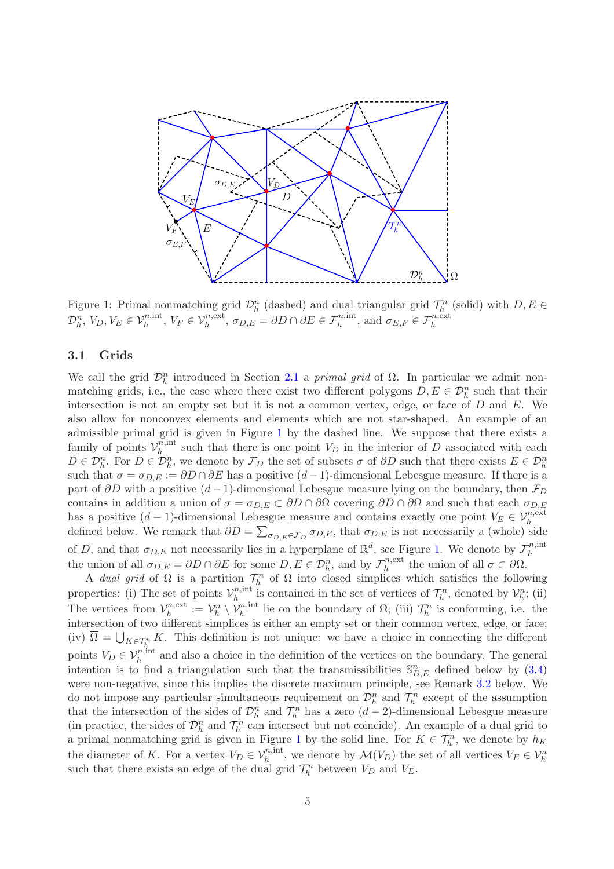

<span id="page-4-0"></span>Figure 1: Primal nonmatching grid  $\mathcal{D}_h^n$  (dashed) and dual triangular grid  $\mathcal{T}_h^n$  (solid) with  $D, E \in$  $\mathcal{D}_h^n$ ,  $V_D$ ,  $V_E \in \mathcal{V}_h^{n,\text{int}}$ ,  $V_F \in \mathcal{V}_h^{n,\text{ext}}$ ,  $\sigma_{D,E} = \partial D \cap \partial E \in \mathcal{F}_h^{n,\text{int}}$ , and  $\sigma_{E,F} \in \mathcal{F}_h^{n,\text{ext}}$ 

## <span id="page-4-1"></span>3.1 Grids

We call the grid  $\mathcal{D}_h^n$  introduced in Section [2.1](#page-2-1) a *primal grid* of  $\Omega$ . In particular we admit nonmatching grids, i.e., the case where there exist two different polygons  $D, E \in \mathcal{D}_h^n$  such that their intersection is not an empty set but it is not a common vertex, edge, or face of  $D$  and  $E$ . We also allow for nonconvex elements and elements which are not star-shaped. An example of an admissible primal grid is given in Figure [1](#page-4-0) by the dashed line. We suppose that there exists a family of points  $\mathcal{V}_h^{\bar{n},\text{int}}$  $h_h^{n,m}$  such that there is one point  $V_D$  in the interior of D associated with each  $D \in \mathcal{D}_h^n$ . For  $D \in \mathcal{D}_h^n$ , we denote by  $\mathcal{F}_D$  the set of subsets  $\sigma$  of  $\partial D$  such that there exists  $E \in \mathcal{D}_h^n$ such that  $\sigma = \sigma_{D,E} := \partial D \cap \partial E$  has a positive  $(d-1)$ -dimensional Lebesgue measure. If there is a part of  $\partial D$  with a positive  $(d-1)$ -dimensional Lebesgue measure lying on the boundary, then  $\mathcal{F}_D$ contains in addition a union of  $\sigma = \sigma_{D,E} \subset \partial D \cap \partial \Omega$  covering  $\partial D \cap \partial \Omega$  and such that each  $\sigma_{D,E}$ has a positive  $(d-1)$ -dimensional Lebesgue measure and contains exactly one point  $V_E \in \mathcal{V}_h^{n,\text{ext}}$ defined below. We remark that  $\partial D = \sum_{\sigma_{D,E} \in \mathcal{F}_D} \sigma_{D,E}$ , that  $\sigma_{D,E}$  is not necessarily a (whole) side of D, and that  $\sigma_{D,E}$  not necessarily lies in a hyperplane of  $\mathbb{R}^d$ , see Figure [1.](#page-4-0) We denote by  $\mathcal{F}_h^{n,\text{int}}$ h the union of all  $\sigma_{D,E} = \partial D \cap \partial E$  for some  $D, E \in \mathcal{D}_h^n$ , and by  $\mathcal{F}_h^{n,\text{ext}}$  $h^{n,\text{ext}}_h$  the union of all  $\sigma \subset \partial\Omega$ .

A dual grid of  $\Omega$  is a partition  $\mathcal{T}_h^n$  of  $\Omega$  into closed simplices which satisfies the following h properties: (i) The set of points  $\mathcal{V}_h^{n,\text{int}}$ <sup>n, int</sup> is contained in the set of vertices of  $\mathcal{T}_h^n$ , denoted by  $\mathcal{V}_h^n$ ; (ii) The vertices from  $\mathcal{V}_h^{n,\text{ext}}$  $\mathcal{V}_h^{n,\text{ext}} := \mathcal{V}_h^n \setminus \mathcal{V}_h^{n,\text{int}}$  lie on the boundary of  $\Omega$ ; (iii)  $\mathcal{T}_h^n$  is conforming, i.e. the intersection of two different simplices is either an empty set or their common vertex, edge, or face; (iv)  $\overline{\Omega} = \bigcup_{K \in \mathcal{T}_h^n} K$ . This definition is not unique: we have a choice in connecting the different points  $V_D \in \mathcal{V}_h^{n,\text{int}}$  and also a choice in the definition of the vertices on the boundary. The general intention is to find a triangulation such that the transmissibilities  $\mathbb{S}_{D,E}^n$  defined below by [\(3.4\)](#page-5-0) were non-negative, since this implies the discrete maximum principle, see Remark [3.2](#page-6-0) below. We do not impose any particular simultaneous requirement on  $\mathcal{D}_h^n$  and  $\mathcal{T}_h^n$  except of the assumption that the intersection of the sides of  $\mathcal{D}_h^n$  and  $\mathcal{T}_h^n$  has a zero  $(d-2)$ -dimensional Lebesgue measure (in practice, the sides of  $\mathcal{D}_h^n$  and  $\mathcal{T}_h^n$  can intersect but not coincide). An example of a dual grid to a primal nonmatching grid is given in Figure [1](#page-4-0) by the solid line. For  $K \in \mathcal{T}_h^n$ , we denote by  $h_K$ the diameter of K. For a vertex  $V_D \in \mathcal{V}_h^{n,\text{int}}$ , we denote by  $\mathcal{M}(V_D)$  the set of all vertices  $V_E \in \mathcal{V}_h^n$ such that there exists an edge of the dual grid  $\mathcal{T}_h^n$  between  $V_D$  and  $V_E$ .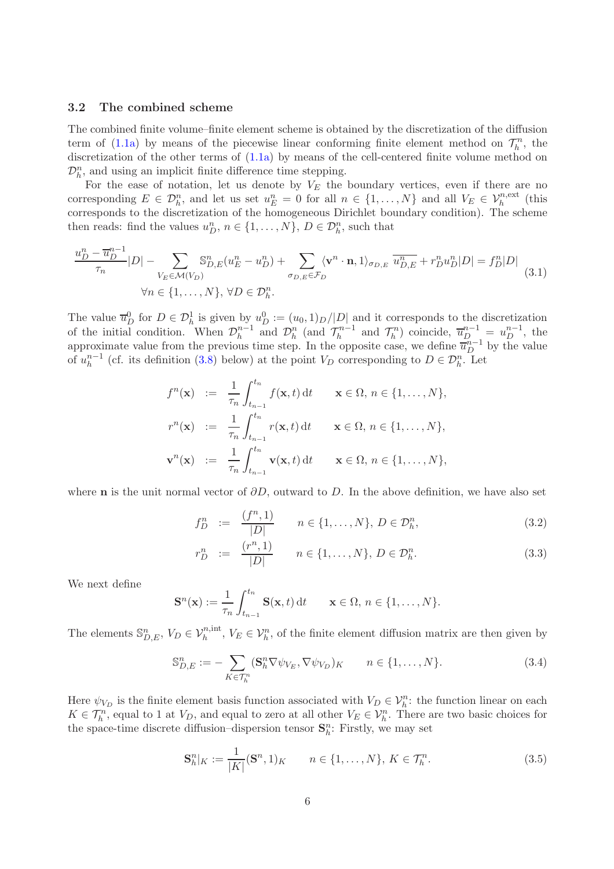## 3.2 The combined scheme

The combined finite volume–finite element scheme is obtained by the discretization of the diffusion term of [\(1.1a\)](#page-1-0) by means of the piecewise linear conforming finite element method on  $\mathcal{T}_h^n$ , the discretization of the other terms of  $(1.1a)$  by means of the cell-centered finite volume method on  $\mathcal{D}_h^n$ , and using an implicit finite difference time stepping.

For the ease of notation, let us denote by  $V_E$  the boundary vertices, even if there are no corresponding  $E \in \mathcal{D}_h^n$ , and let us set  $u_E^n = 0$  for all  $n \in \{1, ..., N\}$  and all  $V_E \in \mathcal{V}_h^{n,\text{ext}}$  (this corresponds to the discretization of the homogeneous Dirichlet boundary condition). The scheme then reads: find the values  $u_D^n$ ,  $n \in \{1, ..., N\}$ ,  $D \in \mathcal{D}_h^n$ , such that

<span id="page-5-1"></span>
$$
\frac{u_D^n - \overline{u}_D^{n-1}}{\tau_n} |D| - \sum_{V_E \in \mathcal{M}(V_D)} \mathbb{S}_{D,E}^n (u_E^n - u_D^n) + \sum_{\sigma_{D,E} \in \mathcal{F}_D} \langle \mathbf{v}^n \cdot \mathbf{n}, 1 \rangle_{\sigma_{D,E}} \overline{u}_{D,E}^n + r_D^n u_D^n |D| = f_D^n |D|
$$
\n
$$
\forall n \in \{1, \dots, N\}, \forall D \in \mathcal{D}_h^n.
$$
\n(3.1)

The value  $\overline{u}_D^0$  for  $D \in \mathcal{D}_h^1$  is given by  $u_D^0 := (u_0, 1)_D / |D|$  and it corresponds to the discretization of the initial condition. When  $\mathcal{D}_h^{n-1}$  $\mathcal{D}_h^{n-1}$  and  $\mathcal{D}_h^n$  (and  $\mathcal{T}_h^{n-1}$  $\bar{u}_h^{n-1}$  and  $\mathcal{T}_h^n$ ) coincide,  $\bar{u}_D^{n-1} = u_D^{n-1}$ , the approximate value from the previous time step. In the opposite case, we define  $\overline{u}_{D}^{n-1}$  by the value of  $u_h^{n-1}$  $h^{n-1}$  (cf. its definition [\(3.8\)](#page-6-1) below) at the point  $V_D$  corresponding to  $D \in \mathcal{D}_h^n$ . Let

$$
f^{n}(\mathbf{x}) := \frac{1}{\tau_n} \int_{t_{n-1}}^{t_n} f(\mathbf{x}, t) dt \quad \mathbf{x} \in \Omega, n \in \{1, ..., N\},
$$
  

$$
r^{n}(\mathbf{x}) := \frac{1}{\tau_n} \int_{t_{n-1}}^{t_n} r(\mathbf{x}, t) dt \quad \mathbf{x} \in \Omega, n \in \{1, ..., N\},
$$
  

$$
\mathbf{v}^{n}(\mathbf{x}) := \frac{1}{\tau_n} \int_{t_{n-1}}^{t_n} \mathbf{v}(\mathbf{x}, t) dt \quad \mathbf{x} \in \Omega, n \in \{1, ..., N\},
$$

where **n** is the unit normal vector of  $\partial D$ , outward to D. In the above definition, we have also set

<span id="page-5-3"></span>
$$
f_D^n := \frac{(f^n, 1)}{|D|} \qquad n \in \{1, \dots, N\}, \ D \in \mathcal{D}_h^n,\tag{3.2}
$$

$$
r_D^n := \frac{(r^n, 1)}{|D|} \qquad n \in \{1, \dots, N\}, \ D \in \mathcal{D}_h^n. \tag{3.3}
$$

We next define

$$
\mathbf{S}^n(\mathbf{x}) := \frac{1}{\tau_n} \int_{t_{n-1}}^{t_n} \mathbf{S}(\mathbf{x}, t) dt \qquad \mathbf{x} \in \Omega, n \in \{1, \dots, N\}.
$$

The elements  $\mathbb{S}_{D,E}^n$ ,  $V_D \in \mathcal{V}_h^{n,\text{int}}$ ,  $V_E \in \mathcal{V}_h^n$ , of the finite element diffusion matrix are then given by

<span id="page-5-0"></span>
$$
\mathbb{S}_{D,E}^n := -\sum_{K \in \mathcal{T}_h^n} (\mathbf{S}_h^n \nabla \psi_{V_E}, \nabla \psi_{V_D})_K \qquad n \in \{1, \dots, N\}.
$$
\n(3.4)

Here  $\psi_{V_D}$  is the finite element basis function associated with  $V_D \in \mathcal{V}_h^n$ : the function linear on each  $K \in \mathcal{T}_h^n$ , equal to 1 at  $V_D$ , and equal to zero at all other  $V_E \in \mathcal{V}_h^n$ . There are two basic choices for the space-time discrete diffusion–dispersion tensor  $\mathbf{S}_h^n$ : Firstly, we may set

<span id="page-5-2"></span>
$$
\mathbf{S}_{h}^{n}|_{K} := \frac{1}{|K|} (\mathbf{S}^{n}, 1)_{K} \qquad n \in \{1, ..., N\}, K \in \mathcal{T}_{h}^{n}.
$$
 (3.5)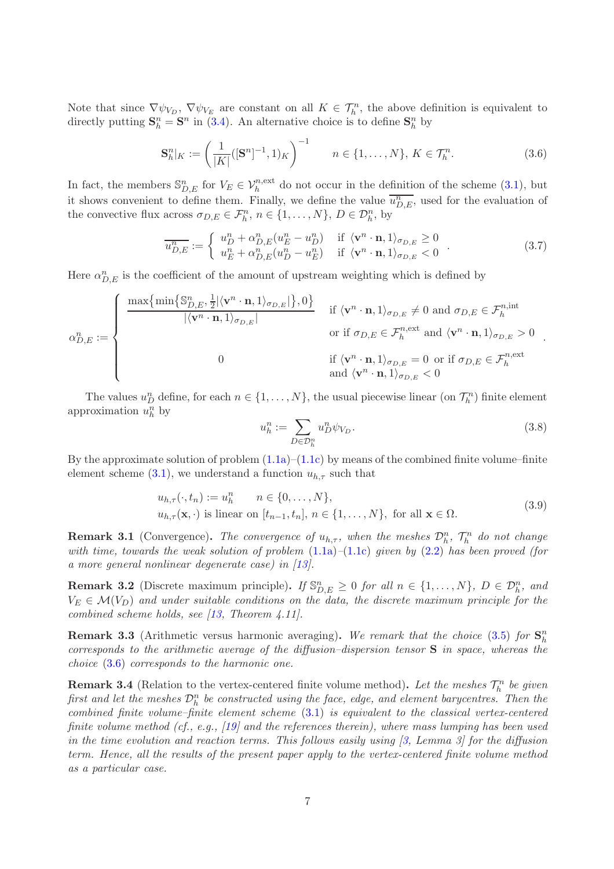Note that since  $\nabla \psi_{V_D}$ ,  $\nabla \psi_{V_E}$  are constant on all  $K \in \mathcal{T}_h^n$ , the above definition is equivalent to directly putting  $\mathbf{S}_h^n = \mathbf{S}^n$  in [\(3.4\)](#page-5-0). An alternative choice is to define  $\mathbf{S}_h^n$  by

<span id="page-6-2"></span>
$$
\mathbf{S}_{h}^{n}|_{K} := \left(\frac{1}{|K|}([\mathbf{S}^{n}]^{-1}, 1)_{K}\right)^{-1} \qquad n \in \{1, \dots, N\}, K \in \mathcal{T}_{h}^{n}.
$$
 (3.6)

In fact, the members  $\mathbb{S}_{D,E}^n$  for  $V_E \in \mathcal{V}_h^{n,\text{ext}}$  do not occur in the definition of the scheme [\(3.1\)](#page-5-1), but it shows convenient to define them. Finally, we define the value  $\overline{u_{D,E}^n}$ , used for the evaluation of the convective flux across  $\sigma_{D,E} \in \mathcal{F}_h^n$ ,  $n \in \{1, ..., N\}$ ,  $D \in \mathcal{D}_h^n$ , by

<span id="page-6-4"></span>
$$
\overline{u_{D,E}^n} := \begin{cases} u_D^n + \alpha_{D,E}^n (u_E^n - u_D^n) & \text{if } \langle \mathbf{v}^n \cdot \mathbf{n}, 1 \rangle_{\sigma_{D,E}} \ge 0 \\ u_E^n + \alpha_{D,E}^n (u_D^n - u_E^n) & \text{if } \langle \mathbf{v}^n \cdot \mathbf{n}, 1 \rangle_{\sigma_{D,E}} < 0 \end{cases} . \tag{3.7}
$$

Here  $\alpha_{D,E}^n$  is the coefficient of the amount of upstream weighting which is defined by

$$
\alpha_{D,E}^{n} := \begin{cases}\n\frac{\max\{\min\{\mathbb{S}_{D,E}^{n}, \frac{1}{2} | \langle \mathbf{v}^{n} \cdot \mathbf{n}, 1 \rangle_{\sigma_{D,E}} | \}, 0\}}{|\langle \mathbf{v}^{n} \cdot \mathbf{n}, 1 \rangle_{\sigma_{D,E}}|} & \text{if } \langle \mathbf{v}^{n} \cdot \mathbf{n}, 1 \rangle_{\sigma_{D,E}} \neq 0 \text{ and } \sigma_{D,E} \in \mathcal{F}_{h}^{n, \text{int}} \\
\alpha_{D,E}^{n} \in \mathcal{F}_{h}^{n, \text{ext}} \text{ and } \langle \mathbf{v}^{n} \cdot \mathbf{n}, 1 \rangle_{\sigma_{D,E}} > 0 \\
0 & \text{if } \langle \mathbf{v}^{n} \cdot \mathbf{n}, 1 \rangle_{\sigma_{D,E}} = 0 \text{ or if } \sigma_{D,E} \in \mathcal{F}_{h}^{n, \text{ext}} \\
\text{and } \langle \mathbf{v}^{n} \cdot \mathbf{n}, 1 \rangle_{\sigma_{D,E}} < 0\n\end{cases}
$$

The values  $u_D^n$  define, for each  $n \in \{1, ..., N\}$ , the usual piecewise linear (on  $\mathcal{T}_h^n$ ) finite element approximation  $u_h^n$  by

<span id="page-6-1"></span>
$$
u_h^n := \sum_{D \in \mathcal{D}_h^n} u_D^n \psi_{V_D}.
$$
\n(3.8)

By the approximate solution of problem  $(1.1a)$ – $(1.1c)$  by means of the combined finite volume–finite element scheme [\(3.1\)](#page-5-1), we understand a function  $u_{h,\tau}$  such that

$$
u_{h,\tau}(\cdot, t_n) := u_h^n \qquad n \in \{0, \dots, N\},
$$
  

$$
u_{h,\tau}(\mathbf{x}, \cdot) \text{ is linear on } [t_{n-1}, t_n], n \in \{1, \dots, N\}, \text{ for all } \mathbf{x} \in \Omega.
$$
 (3.9)

<span id="page-6-3"></span>**Remark 3.1** (Convergence). The convergence of  $u_{h,\tau}$ , when the meshes  $\mathcal{D}_h^n$ ,  $\mathcal{T}_h^n$  do not change with time, towards the weak solution of problem  $(1.1a)$ – $(1.1c)$  given by  $(2.2)$  has been proved (for a more general nonlinear degenerate case) in [\[13\]](#page-24-0).

<span id="page-6-0"></span>**Remark 3.2** (Discrete maximum principle). If  $\mathbb{S}_{D,E}^n \geq 0$  for all  $n \in \{1,\ldots,N\}$ ,  $D \in \mathcal{D}_h^n$ , and  $V_E \in \mathcal{M}(V_D)$  and under suitable conditions on the data, the discrete maximum principle for the combined scheme holds, see [\[13,](#page-24-0) Theorem 4.11].

**Remark 3.3** (Arithmetic versus harmonic averaging). We remark that the choice [\(3.5\)](#page-5-2) for  $\mathbf{S}_h^n$ corresponds to the arithmetic average of the diffusion–dispersion tensor  $S$  in space, whereas the choice [\(3.6\)](#page-6-2) corresponds to the harmonic one.

**Remark 3.4** (Relation to the vertex-centered finite volume method). Let the meshes  $\mathcal{T}_h^n$  be given first and let the meshes  $\mathcal{D}_h^n$  be constructed using the face, edge, and element barycentres. Then the combined finite volume–finite element scheme [\(3.1\)](#page-5-1) is equivalent to the classical vertex-centered finite volume method (cf., e.g., [\[19\]](#page-24-6) and the references therein), where mass lumping has been used in the time evolution and reaction terms. This follows easily using  $\beta$ , Lemma  $\beta$  for the diffusion term. Hence, all the results of the present paper apply to the vertex-centered finite volume method as a particular case.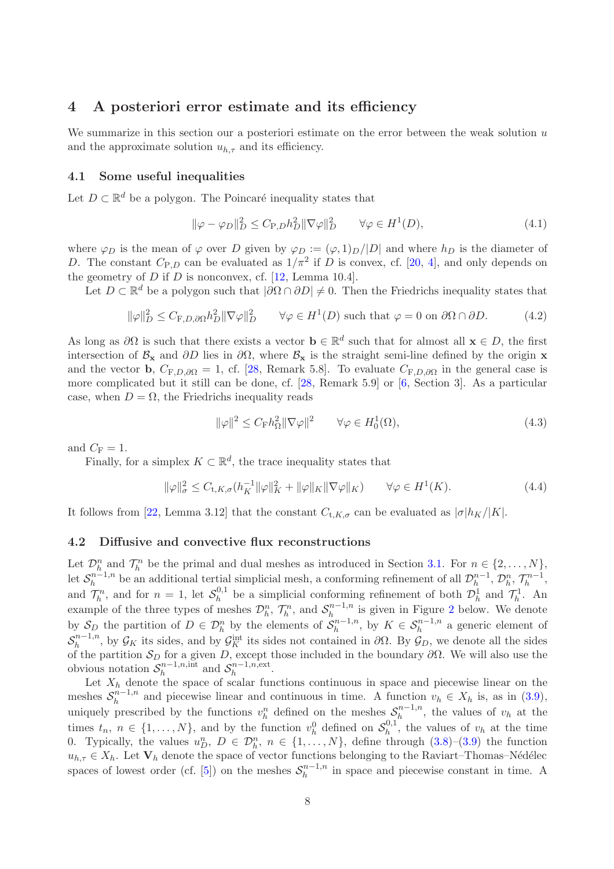# <span id="page-7-0"></span>4 A posteriori error estimate and its efficiency

We summarize in this section our a posteriori estimate on the error between the weak solution  $u$ and the approximate solution  $u_{h,\tau}$  and its efficiency.

## 4.1 Some useful inequalities

Let  $D \subset \mathbb{R}^d$  be a polygon. The Poincaré inequality states that

<span id="page-7-1"></span>
$$
\|\varphi - \varphi_D\|_D^2 \le C_{\text{P},D} h_D^2 \|\nabla \varphi\|_D^2 \qquad \forall \varphi \in H^1(D),\tag{4.1}
$$

where  $\varphi_D$  is the mean of  $\varphi$  over D given by  $\varphi_D := (\varphi, 1)_D / |D|$  and where  $h_D$  is the diameter of D. The constant  $C_{P,D}$  can be evaluated as  $1/\pi^2$  if D is convex, cf. [\[20,](#page-25-6) [4\]](#page-20-3), and only depends on the geometry of  $D$  if  $D$  is nonconvex, cf. [\[12,](#page-24-11) Lemma 10.4].

Let  $D \subset \mathbb{R}^d$  be a polygon such that  $|\partial \Omega \cap \partial D| \neq 0$ . Then the Friedrichs inequality states that

<span id="page-7-2"></span>
$$
\|\varphi\|_D^2 \le C_{\mathcal{F},D,\partial\Omega} h_D^2 \|\nabla\varphi\|_D^2 \qquad \forall \varphi \in H^1(D) \text{ such that } \varphi = 0 \text{ on } \partial\Omega \cap \partial D. \tag{4.2}
$$

As long as  $\partial\Omega$  is such that there exists a vector  $\mathbf{b} \in \mathbb{R}^d$  such that for almost all  $\mathbf{x} \in D$ , the first intersection of  $\mathcal{B}_{x}$  and  $\partial D$  lies in  $\partial \Omega$ , where  $\mathcal{B}_{x}$  is the straight semi-line defined by the origin x and the vector b,  $C_{\text{F},D,\partial\Omega} = 1$ , cf. [\[28,](#page-25-7) Remark 5.8]. To evaluate  $C_{\text{F},D,\partial\Omega}$  in the general case is more complicated but it still can be done, cf. [\[28,](#page-25-7) Remark 5.9] or [\[6,](#page-24-12) Section 3]. As a particular case, when  $D = \Omega$ , the Friedrichs inequality reads

<span id="page-7-3"></span>
$$
\|\varphi\|^2 \le C_{\mathcal{F}} h_{\Omega}^2 \|\nabla \varphi\|^2 \qquad \forall \varphi \in H_0^1(\Omega),\tag{4.3}
$$

and  $C_F = 1$ .

Finally, for a simplex  $K \subset \mathbb{R}^d$ , the trace inequality states that

$$
\|\varphi\|_{\sigma}^2 \le C_{t,K,\sigma}(h_K^{-1} \|\varphi\|_K^2 + \|\varphi\|_K \|\nabla \varphi\|_K) \qquad \forall \varphi \in H^1(K). \tag{4.4}
$$

It follows from [\[22,](#page-25-8) Lemma 3.12] that the constant  $C_{t,K,\sigma}$  can be evaluated as  $|\sigma|h_K/|K|$ .

#### 4.2 Diffusive and convective flux reconstructions

Let  $\mathcal{D}_h^n$  and  $\mathcal{T}_h^n$  be the primal and dual meshes as introduced in Section [3.1.](#page-4-1) For  $n \in \{2, \ldots, N\}$ , let  $\mathcal{S}_h^{n-1,n}$  $h^{n-1,n}$  be an additional tertial simplicial mesh, a conforming refinement of all  $\mathcal{D}_h^{n-1}$  $\mathcal{D}_h^n$ ,  $\mathcal{T}_h^{n-1}$  $\frac{m-1}{h},$ and  $\mathcal{T}_h^n$ , and for  $n = 1$ , let  $\mathcal{S}_h^{0,1}$  $\mathcal{D}_h^{0,1}$  be a simplicial conforming refinement of both  $\mathcal{D}_h^1$  and  $\mathcal{T}_h^1$ . An example of the three types of meshes  $\mathcal{D}_h^n$ ,  $\mathcal{T}_h^n$ , and  $\mathcal{S}_h^{n-1,n}$  $\sum_{h}^{n-1,n}$  is given in Figure [2](#page-21-0) below. We denote by  $S_D$  the partition of  $D \in \mathcal{D}_h^n$  by the elements of  $\mathcal{S}_h^{n-1,n}$  $h^{n-1,n}_h$ , by  $K \in \mathcal{S}_h^{n-1,n}$  a generic element of  $\mathcal{S}_h^{n-1,n}$  $\int_h^{n-1,n}$ , by  $\mathcal{G}_K$  its sides, and by  $\mathcal{G}_K^{\text{int}}$  its sides not contained in  $\partial\Omega$ . By  $\mathcal{G}_D$ , we denote all the sides of the partition  $\mathcal{S}_D$  for a given D, except those included in the boundary  $\partial\Omega$ . We will also use the obvious notation  $S_h^{n-1,n,\text{int}}$  $\sum_{h}^{n-1,n,\text{int}}$  and  $S_h^{n-1,n,\text{ext}}$  $h^{n-1,n,\text{ext}}$ .

Let  $X_h$  denote the space of scalar functions continuous in space and piecewise linear on the meshes  $S_h^{n-1,n}$  $h^{n-1,n}$  and piecewise linear and continuous in time. A function  $v_h \in X_h$  is, as in [\(3.9\)](#page-6-3), uniquely prescribed by the functions  $v_h^n$  defined on the meshes  $S_h^{n-1,n}$  $\binom{n-1}{h}$ , the values of  $v_h$  at the times  $t_n, n \in \{1, ..., N\}$ , and by the function  $v_h^0$  defined on  $\mathcal{S}_h^{0,1}$  $h^{0,1}$ , the values of  $v_h$  at the time 0. Typically, the values  $u_D^n$ ,  $D \in \mathcal{D}_h^n$ ,  $n \in \{1, ..., N\}$ , define through  $(3.8)$ – $(3.9)$  the function  $u_{h,\tau} \in X_h$ . Let  $V_h$  denote the space of vector functions belonging to the Raviart–Thomas–Nédélec spaces of lowest order (cf. [\[5\]](#page-24-13)) on the meshes  $S_h^{n-1,n}$  $h^{n-1,n}$  in space and piecewise constant in time. A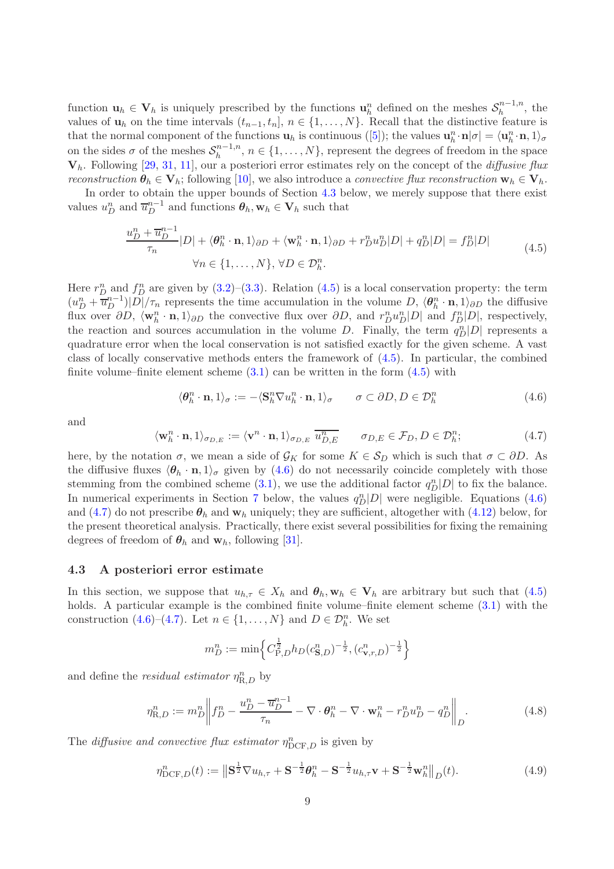function  $\mathbf{u}_h \in \mathbf{V}_h$  is uniquely prescribed by the functions  $\mathbf{u}_h^n$  defined on the meshes  $\mathcal{S}_h^{n-1,n}$  $h^{n-1,n}$ , the values of  $\mathbf{u}_h$  on the time intervals  $(t_{n-1}, t_n], n \in \{1, ..., N\}$ . Recall that the distinctive feature is that the normal component of the functions  $\mathbf{u}_h$  is continuous ([\[5\]](#page-24-13)); the values  $\mathbf{u}_h^n \cdot \mathbf{n} | \sigma | = \langle \mathbf{u}_h^n \cdot \mathbf{n}, 1 \rangle_{\sigma}$ on the sides  $\sigma$  of the meshes  $S_h^{n-1,n}$  $h^{n-1,n}, n \in \{1,\ldots,N\},$  represent the degrees of freedom in the space  $V_h$ . Following [\[29,](#page-25-4) [31,](#page-25-5) [11\]](#page-24-9), our a posteriori error estimates rely on the concept of the *diffusive flux* reconstruction  $\theta_h \in V_h$ ; following [\[10\]](#page-24-8), we also introduce a convective flux reconstruction  $\mathbf{w}_h \in V_h$ .

In order to obtain the upper bounds of Section [4.3](#page-8-0) below, we merely suppose that there exist values  $u_D^n$  and  $\overline{u}_D^{n-1}$  and functions  $\theta_h$ ,  $\mathbf{w}_h \in \mathbf{V}_h$  such that

$$
\frac{u_D^n + \overline{u}_D^{n-1}}{\tau_n} |D| + \langle \theta_h^n \cdot \mathbf{n}, 1 \rangle_{\partial D} + \langle \mathbf{w}_h^n \cdot \mathbf{n}, 1 \rangle_{\partial D} + r_D^n u_D^n |D| + q_D^n |D| = f_D^n |D|
$$
\n
$$
\forall n \in \{1, \dots, N\}, \forall D \in \mathcal{D}_h^n.
$$
\n(4.5)

<span id="page-8-1"></span>Here  $r_D^n$  and  $f_D^n$  are given by  $(3.2)$ – $(3.3)$ . Relation  $(4.5)$  is a local conservation property: the term  $(u_D^n + \overline{u}_D^{n-1})|\overline{D}|/\tau_n$  represents the time accumulation in the volume  $D, \langle \theta_h^n \cdot \mathbf{n}, 1 \rangle_{\partial D}$  the diffusive flux over  $\partial D$ ,  $\langle \mathbf{w}_h^n \cdot \mathbf{n}, 1 \rangle_{\partial D}$  the convective flux over  $\partial D$ , and  $r_D^n u_D^n |D|$  and  $f_D^n |D|$ , respectively, the reaction and sources accumulation in the volume D. Finally, the term  $q_D^{n}|D|$  represents a quadrature error when the local conservation is not satisfied exactly for the given scheme. A vast class of locally conservative methods enters the framework of [\(4.5\)](#page-8-1). In particular, the combined finite volume–finite element scheme  $(3.1)$  can be written in the form  $(4.5)$  with

<span id="page-8-2"></span>
$$
\langle \boldsymbol{\theta}_h^n \cdot \mathbf{n}, 1 \rangle_{\sigma} := -\langle \mathbf{S}_h^n \nabla u_h^n \cdot \mathbf{n}, 1 \rangle_{\sigma} \qquad \sigma \subset \partial D, D \in \mathcal{D}_h^n \tag{4.6}
$$

and

<span id="page-8-3"></span>
$$
\langle \mathbf{w}_h^n \cdot \mathbf{n}, 1 \rangle_{\sigma_{D,E}} := \langle \mathbf{v}^n \cdot \mathbf{n}, 1 \rangle_{\sigma_{D,E}} \overline{u_{D,E}^n} \qquad \sigma_{D,E} \in \mathcal{F}_D, D \in \mathcal{D}_h^n; \tag{4.7}
$$

here, by the notation  $\sigma$ , we mean a side of  $\mathcal{G}_K$  for some  $K \in \mathcal{S}_D$  which is such that  $\sigma \subset \partial D$ . As the diffusive fluxes  $\langle \theta_h \cdot n, 1 \rangle_{\sigma}$  given by [\(4.6\)](#page-8-2) do not necessarily coincide completely with those stemming from the combined scheme [\(3.1\)](#page-5-1), we use the additional factor  $q_D^n|D|$  to fix the balance. In numerical experiments in Section [7](#page-19-0) below, the values  $q_D^n|D|$  were negligible. Equations [\(4.6\)](#page-8-2) and [\(4.7\)](#page-8-3) do not prescribe  $\theta_h$  and  $\mathbf{w}_h$  uniquely; they are sufficient, altogether with [\(4.12\)](#page-11-0) below, for the present theoretical analysis. Practically, there exist several possibilities for fixing the remaining degrees of freedom of  $\theta_h$  and  $\mathbf{w}_h$ , following [\[31\]](#page-25-5).

## <span id="page-8-0"></span>4.3 A posteriori error estimate

In this section, we suppose that  $u_{h,\tau} \in X_h$  and  $\theta_h, w_h \in V_h$  are arbitrary but such that [\(4.5\)](#page-8-1) holds. A particular example is the combined finite volume–finite element scheme  $(3.1)$  with the construction [\(4.6\)](#page-8-2)–[\(4.7\)](#page-8-3). Let  $n \in \{1, ..., N\}$  and  $D \in \mathcal{D}_{h}^{n}$ . We set

$$
m_D^n := \min \left\{ C_{\mathrm{P},D}^{\frac{1}{2}} h_D(c_{\mathbf{S},D}^n)^{-\frac{1}{2}}, (c_{\mathbf{v},r,D}^n)^{-\frac{1}{2}} \right\}
$$

and define the *residual estimator*  $\eta_{\text{R},D}^n$  by

<span id="page-8-5"></span>
$$
\eta_{\text{R},D}^n := m_D^n \left\| f_D^n - \frac{u_D^n - \overline{u}_D^{n-1}}{\tau_n} - \nabla \cdot \boldsymbol{\theta}_h^n - \nabla \cdot \mathbf{w}_h^n - r_D^n u_D^n - q_D^n \right\|_D. \tag{4.8}
$$

The diffusive and convective flux estimator  $\eta_{\text{DCF},D}^n$  is given by

<span id="page-8-4"></span>
$$
\eta_{\text{DCF},D}^n(t) := \left\| \mathbf{S}^{\frac{1}{2}} \nabla u_{h,\tau} + \mathbf{S}^{-\frac{1}{2}} \boldsymbol{\theta}_h^n - \mathbf{S}^{-\frac{1}{2}} u_{h,\tau} \mathbf{v} + \mathbf{S}^{-\frac{1}{2}} \mathbf{w}_h^n \right\|_{D}(t). \tag{4.9}
$$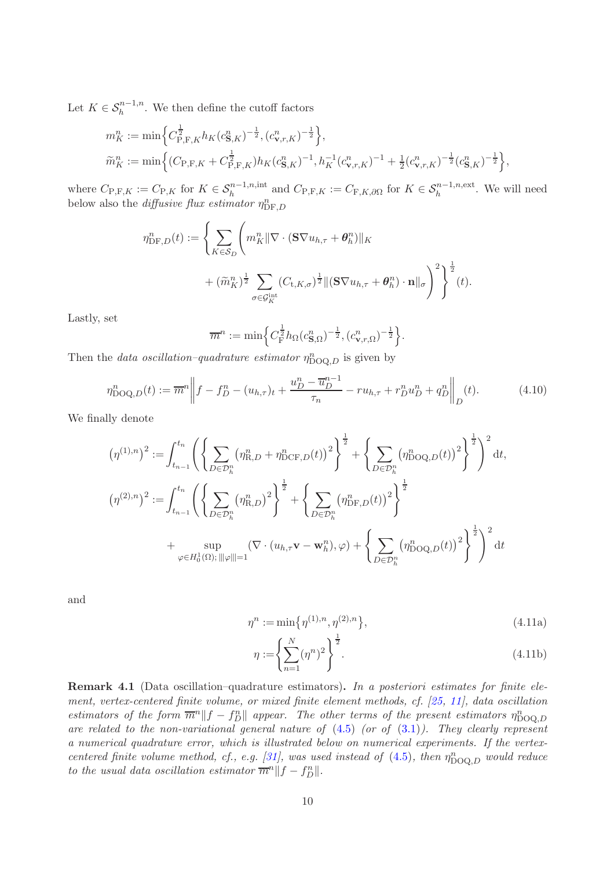Let  $K \in \mathcal{S}_h^{n-1,n}$ . We then define the cutoff factors

$$
m_K^n := \min\left\{C_{\text{P},\text{F},K}^{\frac{1}{2}} h_K(c_{\mathbf{S},K}^n)^{-\frac{1}{2}}, (c_{\mathbf{v},r,K}^n)^{-\frac{1}{2}}\right\},\
$$
  

$$
\widetilde{m}_K^n := \min\left\{(C_{\text{P},\text{F},K} + C_{\text{P},\text{F},K}^{\frac{1}{2}}) h_K(c_{\mathbf{S},K}^n)^{-1}, h_K^{-1}(c_{\mathbf{v},r,K}^n)^{-1} + \frac{1}{2}(c_{\mathbf{v},r,K}^n)^{-\frac{1}{2}}(c_{\mathbf{S},K}^n)^{-\frac{1}{2}}\right\},
$$

where  $C_{\text{P},\text{F},K} := C_{\text{P},K}$  for  $K \in S_h^{n-1,n,\text{int}}$  and  $C_{\text{P},\text{F},K} := C_{\text{F},K,\partial\Omega}$  for  $K \in S_h^{n-1,n,\text{ext}}$ . We will need below also the *diffusive flux estimator*  $\eta_{\text{DF},D}^n$ 

$$
\eta_{\mathrm{DF},D}^{n}(t) := \left\{ \sum_{K \in \mathcal{S}_{D}} \left( m_{K}^{n} \|\nabla \cdot (\mathbf{S} \nabla u_{h,\tau} + \boldsymbol{\theta}_{h}^{n})\|_{K} + (\widetilde{m}_{K}^{n})^{\frac{1}{2}} \sum_{\sigma \in \mathcal{G}_{K}^{\mathrm{int}}} (C_{\mathbf{t},K,\sigma})^{\frac{1}{2}} \|(\mathbf{S} \nabla u_{h,\tau} + \boldsymbol{\theta}_{h}^{n}) \cdot \mathbf{n}\|_{\sigma} \right)^{2} \right\}^{\frac{1}{2}}(t).
$$

Lastly, set

$$
\overline{m}^n := \min \Big\{ C_{\mathrm{F}}^{\frac{1}{2}} h_{\Omega} (c_{\mathbf{S},\Omega}^n)^{-\frac{1}{2}}, (c_{\mathbf{v},r,\Omega}^n)^{-\frac{1}{2}} \Big\}.
$$

Then the *data oscillation–quadrature estimator*  $\eta_{\text{DOQ},D}^n$  is given by

$$
\eta_{\text{DOQ},D}^{n}(t) := \overline{m}^{n} \left\| f - f_{D}^{n} - (u_{h,\tau})_{t} + \frac{u_{D}^{n} - \overline{u}_{D}^{n-1}}{\tau_{n}} - ru_{h,\tau} + r_{D}^{n} u_{D}^{n} + q_{D}^{n} \right\|_{D} (t). \tag{4.10}
$$

We finally denote

$$
(\eta^{(1),n})^2 := \int_{t_{n-1}}^{t_n} \left( \left\{ \sum_{D \in \mathcal{D}_h^n} (\eta_{R,D}^n + \eta_{DCF,D}^n(t))^2 \right\}^{\frac{1}{2}} + \left\{ \sum_{D \in \mathcal{D}_h^n} (\eta_{DOQ,D}^n(t))^2 \right\}^{\frac{1}{2}} \right)^2 dt,
$$
  

$$
(\eta^{(2),n})^2 := \int_{t_{n-1}}^{t_n} \left( \left\{ \sum_{D \in \mathcal{D}_h^n} (\eta_{R,D}^n)^2 \right\}^{\frac{1}{2}} + \left\{ \sum_{D \in \mathcal{D}_h^n} (\eta_{DFA,D}^n(t))^2 \right\}^{\frac{1}{2}} + \left\{ \sum_{D \in \mathcal{D}_h^n} (\eta_{DFA,D}^n(t))^2 \right\}^{\frac{1}{2}} + \left\{ \sum_{D \in \mathcal{D}_h^n} (\eta_{DOQ,D}^n(t))^2 \right\}^{\frac{1}{2}} \right\}^{\frac{1}{2}} dt.
$$

and

$$
\eta^n := \min\{\eta^{(1),n}, \eta^{(2),n}\},\tag{4.11a}
$$

<span id="page-9-1"></span><span id="page-9-0"></span>
$$
\eta := \left\{ \sum_{n=1}^{N} (\eta^n)^2 \right\}^{\frac{1}{2}}.
$$
\n(4.11b)

Remark 4.1 (Data oscillation–quadrature estimators). In a posteriori estimates for finite element, vertex-centered finite volume, or mixed finite element methods, cf. [\[25,](#page-25-2) [11\]](#page-24-9), data oscillation estimators of the form  $\overline{m}^n||f - f_D^n||$  appear. The other terms of the present estimators  $\eta_{\text{DOQ},D}^n$ are related to the non-variational general nature of  $(4.5)$  (or of  $(3.1)$ ). They clearly represent a numerical quadrature error, which is illustrated below on numerical experiments. If the vertex-centered finite volume method, cf., e.g. [\[31\]](#page-25-5), was used instead of  $(4.5)$ , then  $\eta_{\rm DOQ,D}^n$  would reduce to the usual data oscillation estimator  $\overline{m}^n||f - f_D^n||$ .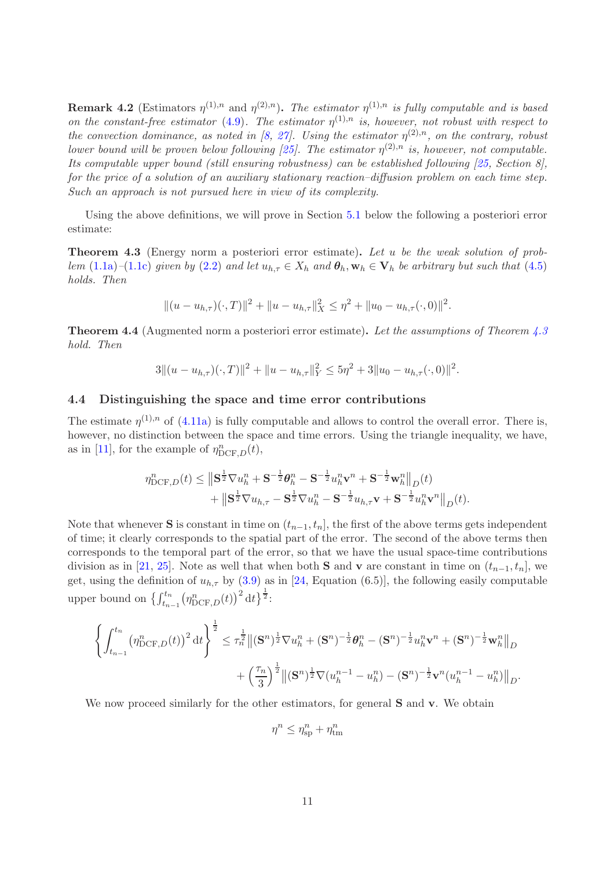**Remark 4.2** (Estimators  $\eta^{(1),n}$  and  $\eta^{(2),n}$ ). The estimator  $\eta^{(1),n}$  is fully computable and is based on the constant-free estimator [\(4.9\)](#page-8-4). The estimator  $\eta^{(1),n}$  is, however, not robust with respect to the convection dominance, as noted in [\[8,](#page-24-14) [27\]](#page-25-9). Using the estimator  $\eta^{(2),n}$ , on the contrary, robust lower bound will be proven below following [\[25\]](#page-25-2). The estimator  $\eta^{(2),n}$  is, however, not computable. Its computable upper bound (still ensuring robustness) can be established following [\[25,](#page-25-2) Section 8], for the price of a solution of an auxiliary stationary reaction–diffusion problem on each time step. Such an approach is not pursued here in view of its complexity.

Using the above definitions, we will prove in Section [5.1](#page-12-1) below the following a posteriori error estimate:

<span id="page-10-0"></span>Theorem 4.3 (Energy norm a posteriori error estimate). Let u be the weak solution of prob-lem [\(1.1a\)](#page-1-0)–[\(1.1c\)](#page-1-1) given by [\(2.2\)](#page-3-1) and let  $u_{h,\tau} \in X_h$  and  $\theta_h, w_h \in V_h$  be arbitrary but such that [\(4.5\)](#page-8-1) holds. Then

$$
||(u - u_{h,\tau})(\cdot, T)||^2 + ||u - u_{h,\tau}||_X^2 \leq \eta^2 + ||u_0 - u_{h,\tau}(\cdot, 0)||^2.
$$

<span id="page-10-1"></span>Theorem 4.4 (Augmented norm a posteriori error estimate). Let the assumptions of Theorem [4.3](#page-10-0) hold. Then

$$
3|| (u - u_{h,\tau})(\cdot, T)||^2 + ||u - u_{h,\tau}||_Y^2 \le 5\eta^2 + 3||u_0 - u_{h,\tau}(\cdot, 0)||^2.
$$

## 4.4 Distinguishing the space and time error contributions

The estimate  $\eta^{(1),n}$  of [\(4.11a\)](#page-9-0) is fully computable and allows to control the overall error. There is, however, no distinction between the space and time errors. Using the triangle inequality, we have, as in [\[11\]](#page-24-9), for the example of  $\eta^n_{\text{DCF},D}(t)$ ,

$$
\eta_{\text{DCF},D}^n(t) \leq \left\| \mathbf{S}^{\frac{1}{2}} \nabla u_h^n + \mathbf{S}^{-\frac{1}{2}} \boldsymbol{\theta}_h^n - \mathbf{S}^{-\frac{1}{2}} u_h^n \mathbf{v}^n + \mathbf{S}^{-\frac{1}{2}} \mathbf{w}_h^n \right\|_{D}(t) + \left\| \mathbf{S}^{\frac{1}{2}} \nabla u_{h,\tau} - \mathbf{S}^{\frac{1}{2}} \nabla u_h^n - \mathbf{S}^{-\frac{1}{2}} u_{h,\tau} \mathbf{v} + \mathbf{S}^{-\frac{1}{2}} u_h^n \mathbf{v}^n \right\|_{D}(t).
$$

Note that whenever S is constant in time on  $(t_{n-1}, t_n]$ , the first of the above terms gets independent of time; it clearly corresponds to the spatial part of the error. The second of the above terms then corresponds to the temporal part of the error, so that we have the usual space-time contributions division as in [\[21,](#page-25-10) [25\]](#page-25-2). Note as well that when both **S** and **v** are constant in time on  $(t_{n-1}, t_n]$ , we get, using the definition of  $u_{h,\tau}$  by [\(3.9\)](#page-6-3) as in [\[24,](#page-25-11) Equation (6.5)], the following easily computable upper bound on  $\left\{\int_{t_{n-1}}^{t_n} (\eta_{\text{DCF},D}^n(t))^2 dt\right\}^{\frac{1}{2}}$ :

$$
\left\{\int_{t_{n-1}}^{t_n} \left(\eta_{\text{DCF},D}^n(t)\right)^2 \mathrm{d}t\right\}^{\frac{1}{2}} \leq \tau_n^{\frac{1}{2}} \left\| (\mathbf{S}^n)^{\frac{1}{2}} \nabla u_h^n + (\mathbf{S}^n)^{-\frac{1}{2}} \boldsymbol{\theta}_h^n - (\mathbf{S}^n)^{-\frac{1}{2}} u_h^n \mathbf{v}^n + (\mathbf{S}^n)^{-\frac{1}{2}} \mathbf{w}_h^n \right\|_{D} + \left(\frac{\tau_n}{3}\right)^{\frac{1}{2}} \left\| (\mathbf{S}^n)^{\frac{1}{2}} \nabla (u_h^{n-1} - u_h^n) - (\mathbf{S}^n)^{-\frac{1}{2}} \mathbf{v}^n (u_h^{n-1} - u_h^n) \right\|_{D}.
$$

We now proceed similarly for the other estimators, for general **S** and **v**. We obtain

$$
\eta^n \leq \eta_{\rm sp}^n + \eta_{\rm tm}^n
$$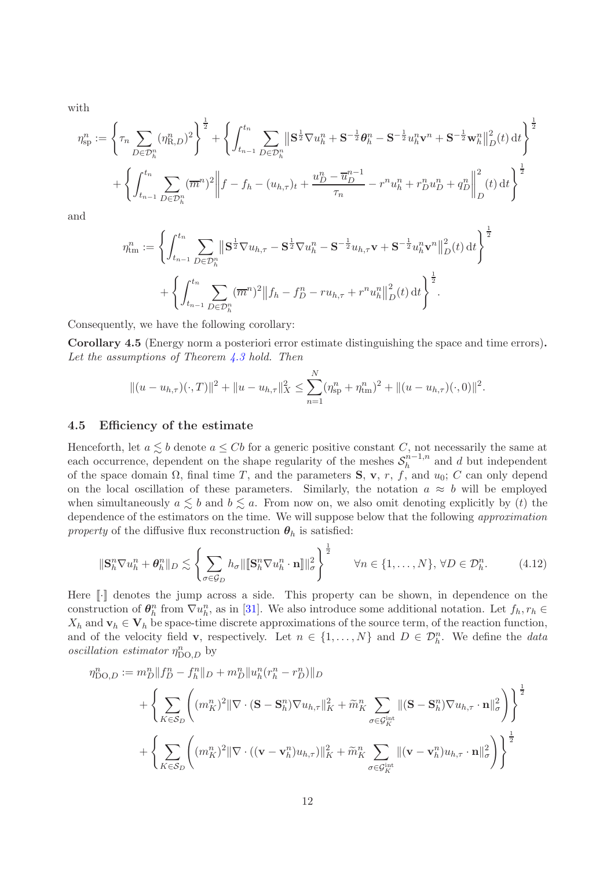with

$$
\eta_{\rm sp}^{n} := \left\{ \tau_{n} \sum_{D \in \mathcal{D}_{h}^{n}} (\eta_{\rm R,D}^{n})^{2} \right\}^{\frac{1}{2}} + \left\{ \int_{t_{n-1}}^{t_{n}} \sum_{D \in \mathcal{D}_{h}^{n}} \left\| \mathbf{S}^{\frac{1}{2}} \nabla u_{h}^{n} + \mathbf{S}^{-\frac{1}{2}} \boldsymbol{\theta}_{h}^{n} - \mathbf{S}^{-\frac{1}{2}} u_{h}^{n} \mathbf{v}^{n} + \mathbf{S}^{-\frac{1}{2}} \mathbf{w}_{h}^{n} \right\|_{D}^{2}(t) \, \mathrm{d}t \right\}^{\frac{1}{2}}
$$

$$
+ \left\{ \int_{t_{n-1}}^{t_{n}} \sum_{D \in \mathcal{D}_{h}^{n}} (\overline{m}^{n})^{2} \left\| f - f_{h} - (u_{h,\tau})_{t} + \frac{u_{D}^{n} - \overline{u}_{D}^{n-1}}{\tau_{n}} - r^{n} u_{h}^{n} + r_{D}^{n} u_{D}^{n} + q_{D}^{n} \right\|_{D}^{2}(t) \, \mathrm{d}t \right\}^{\frac{1}{2}}
$$

and

$$
\eta_{\text{tm}}^n := \left\{ \int_{t_{n-1}}^{t_n} \sum_{D \in \mathcal{D}_h^n} \left\| \mathbf{S}^{\frac{1}{2}} \nabla u_{h,\tau} - \mathbf{S}^{\frac{1}{2}} \nabla u_h^n - \mathbf{S}^{-\frac{1}{2}} u_{h,\tau} \mathbf{v} + \mathbf{S}^{-\frac{1}{2}} u_h^n \mathbf{v}^n \right\|_{D}^2(t) dt \right\}^{\frac{1}{2}}
$$

$$
+ \left\{ \int_{t_{n-1}}^{t_n} \sum_{D \in \mathcal{D}_h^n} (\overline{m}^n)^2 \left\| f_h - f_D^n - ru_{h,\tau} + r^n u_h^n \right\|_{D}^2(t) dt \right\}^{\frac{1}{2}}.
$$

Consequently, we have the following corollary:

Corollary 4.5 (Energy norm a posteriori error estimate distinguishing the space and time errors). Let the assumptions of Theorem  $\angle 3$  hold. Then

$$
||(u - u_{h,\tau})(\cdot, T)||^2 + ||u - u_{h,\tau}||_X^2 \le \sum_{n=1}^N (\eta_{\rm sp}^n + \eta_{\rm tm}^n)^2 + ||(u - u_{h,\tau})(\cdot, 0)||^2.
$$

#### 4.5 Efficiency of the estimate

Henceforth, let  $a \leq b$  denote  $a \leq Cb$  for a generic positive constant C, not necessarily the same at each occurrence, dependent on the shape regularity of the meshes  $S_h^{n-1,n}$  $h^{n-1,n}$  and d but independent of the space domain  $\Omega$ , final time T, and the parameters S, v, r, f, and  $u_0$ ; C can only depend on the local oscillation of these parameters. Similarly, the notation  $a \approx b$  will be employed when simultaneously  $a \leq b$  and  $b \leq a$ . From now on, we also omit denoting explicitly by (t) the dependence of the estimators on the time. We will suppose below that the following *approximation* property of the diffusive flux reconstruction  $\theta_h$  is satisfied:

<span id="page-11-0"></span>
$$
\|\mathbf{S}_{h}^{n}\nabla u_{h}^{n} + \boldsymbol{\theta}_{h}^{n}\|_{D} \lesssim \left\{\sum_{\sigma \in \mathcal{G}_{D}} h_{\sigma} \|\|\mathbf{S}_{h}^{n}\nabla u_{h}^{n} \cdot \mathbf{n}\|\|_{\sigma}^{2}\right\}^{\frac{1}{2}} \qquad \forall n \in \{1, \dots, N\}, \forall D \in \mathcal{D}_{h}^{n}.\tag{4.12}
$$

Here  $\lceil \cdot \rceil$  denotes the jump across a side. This property can be shown, in dependence on the construction of  $\theta_h^n$  from  $\nabla u_h^n$ , as in [\[31\]](#page-25-5). We also introduce some additional notation. Let  $f_h, r_h \in$  $X_h$  and  $\mathbf{v}_h \in \mathbf{V}_h$  be space-time discrete approximations of the source term, of the reaction function, and of the velocity field **v**, respectively. Let  $n \in \{1, ..., N\}$  and  $D \in \mathcal{D}_h^n$ . We define the *data oscillation estimator*  $\eta_{\text{DO},D}^n$  by

$$
\eta_{\text{DO},D}^{n} := m_{D}^{n} || f_{D}^{n} - f_{h}^{n} ||_{D} + m_{D}^{n} ||u_{h}^{n} (r_{h}^{n} - r_{D}^{n}) ||_{D}
$$
\n
$$
+ \left\{ \sum_{K \in \mathcal{S}_{D}} \left( (m_{K}^{n})^{2} || \nabla \cdot (\mathbf{S} - \mathbf{S}_{h}^{n}) \nabla u_{h,\tau} ||_{K}^{2} + \tilde{m}_{K}^{n} \sum_{\sigma \in \mathcal{G}_{K}^{\text{int}}} ||(\mathbf{S} - \mathbf{S}_{h}^{n}) \nabla u_{h,\tau} \cdot \mathbf{n} ||_{\sigma}^{2} \right) \right\}^{\frac{1}{2}}
$$
\n
$$
+ \left\{ \sum_{K \in \mathcal{S}_{D}} \left( (m_{K}^{n})^{2} || \nabla \cdot ((\mathbf{v} - \mathbf{v}_{h}^{n}) u_{h,\tau}) ||_{K}^{2} + \tilde{m}_{K}^{n} \sum_{\sigma \in \mathcal{G}_{K}^{\text{int}}} ||(\mathbf{v} - \mathbf{v}_{h}^{n}) u_{h,\tau} \cdot \mathbf{n} ||_{\sigma}^{2} \right) \right\}^{\frac{1}{2}}
$$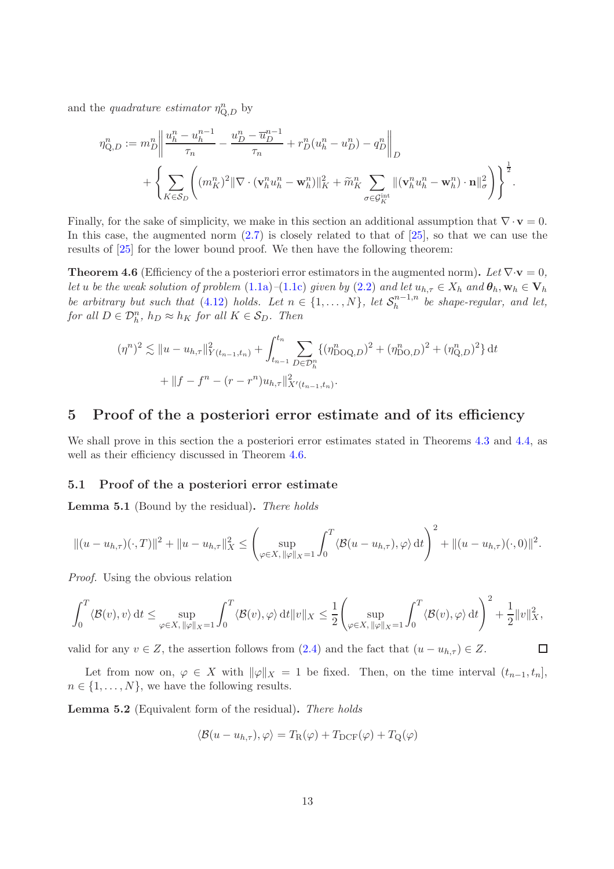and the *quadrature estimator*  $\eta_{Q,D}^n$  by

$$
\begin{split} \eta_{\mathrm{Q},D}^{n}:=m_{D}^{n}\bigg\|\frac{u_{h}^{n}-u_{h}^{n-1}}{\tau_{n}}-\frac{u_{D}^{n}-\overline{u}_{D}^{n-1}}{\tau_{n}}+r_{D}^{n}(u_{h}^{n}-u_{D}^{n})-q_{D}^{n}\bigg\|_{D} \\ &+\bigg\{\sum_{K\in\mathcal{S}_{D}}\bigg((m_{K}^{n})^{2}\|\nabla\cdot(\mathbf{v}_{h}^{n}u_{h}^{n}-\mathbf{w}_{h}^{n})\|_{K}^{2}+\widetilde{m}_{K}^{n}\sum_{\sigma\in\mathcal{G}_{K}^{\mathrm{int}}}\|(\mathbf{v}_{h}^{n}u_{h}^{n}-\mathbf{w}_{h}^{n})\cdot\mathbf{n}\|_{\sigma}^{2}\bigg)\bigg\}^{\frac{1}{2}}. \end{split}
$$

Finally, for the sake of simplicity, we make in this section an additional assumption that  $\nabla \cdot \mathbf{v} = 0$ . In this case, the augmented norm  $(2.7)$  is closely related to that of  $[25]$ , so that we can use the results of [\[25\]](#page-25-2) for the lower bound proof. We then have the following theorem:

<span id="page-12-2"></span>**Theorem 4.6** (Efficiency of the a posteriori error estimators in the augmented norm). Let  $\nabla \cdot \mathbf{v} = 0$ , let u be the weak solution of problem [\(1.1a\)](#page-1-0)–[\(1.1c\)](#page-1-1) given by [\(2.2\)](#page-3-1) and let  $u_{h,\tau} \in X_h$  and  $\theta_h$ ,  $\mathbf{w}_h \in \mathbf{V}_h$ be arbitrary but such that [\(4.12\)](#page-11-0) holds. Let  $n \in \{1, ..., N\}$ , let  $S_h^{n-1,n}$  $h^{n-1,n}$  be shape-regular, and let, for all  $D \in \mathcal{D}_h^n$ ,  $h_D \approx h_K$  for all  $K \in \mathcal{S}_D$ . Then

$$
(\eta^n)^2 \lesssim \|u - u_{h,\tau}\|_{Y(t_{n-1},t_n)}^2 + \int_{t_{n-1}}^{t_n} \sum_{D \in \mathcal{D}_h^n} \{ (\eta^n_{\text{DOQ},D})^2 + (\eta^n_{\text{DO},D})^2 + (\eta^n_{\text{Q},D})^2 \} dt
$$
  
+ 
$$
||f - f^n - (r - r^n)u_{h,\tau}||_{X'(t_{n-1},t_n)}^2.
$$

# <span id="page-12-0"></span>5 Proof of the a posteriori error estimate and of its efficiency

We shall prove in this section the a posteriori error estimates stated in Theorems [4.3](#page-10-0) and [4.4,](#page-10-1) as well as their efficiency discussed in Theorem [4.6.](#page-12-2)

#### <span id="page-12-1"></span>5.1 Proof of the a posteriori error estimate

<span id="page-12-4"></span>Lemma 5.1 (Bound by the residual). There holds

$$
\|(u - u_{h,\tau})(\cdot, T)\|^2 + \|u - u_{h,\tau}\|_X^2 \leq \left(\sup_{\varphi \in X, \, \|\varphi\|_X = 1} \int_0^T \langle \mathcal{B}(u - u_{h,\tau}), \varphi \rangle \, \mathrm{d}t\right)^2 + \|(u - u_{h,\tau})(\cdot, 0)\|^2.
$$

Proof. Using the obvious relation

$$
\int_0^T \langle \mathcal{B}(v), v \rangle \, \mathrm{d} t \le \sup_{\varphi \in X, \, \|\varphi\|_X = 1} \int_0^T \langle \mathcal{B}(v), \varphi \rangle \, \mathrm{d} t \|v\|_X \le \frac{1}{2} \Biggl( \sup_{\varphi \in X, \, \|\varphi\|_X = 1} \int_0^T \langle \mathcal{B}(v), \varphi \rangle \, \mathrm{d} t \Biggr)^2 + \frac{1}{2} \|v\|_X^2,
$$

 $\Box$ 

valid for any  $v \in Z$ , the assertion follows from  $(2.4)$  and the fact that  $(u - u_{h,\tau}) \in Z$ .

Let from now on,  $\varphi \in X$  with  $\|\varphi\|_X = 1$  be fixed. Then, on the time interval  $(t_{n-1}, t_n]$ ,  $n \in \{1, \ldots, N\}$ , we have the following results.

<span id="page-12-3"></span>Lemma 5.2 (Equivalent form of the residual). There holds

$$
\langle \mathcal{B}(u - u_{h,\tau}), \varphi \rangle = T_{\rm R}(\varphi) + T_{\rm DCF}(\varphi) + T_{\rm Q}(\varphi)
$$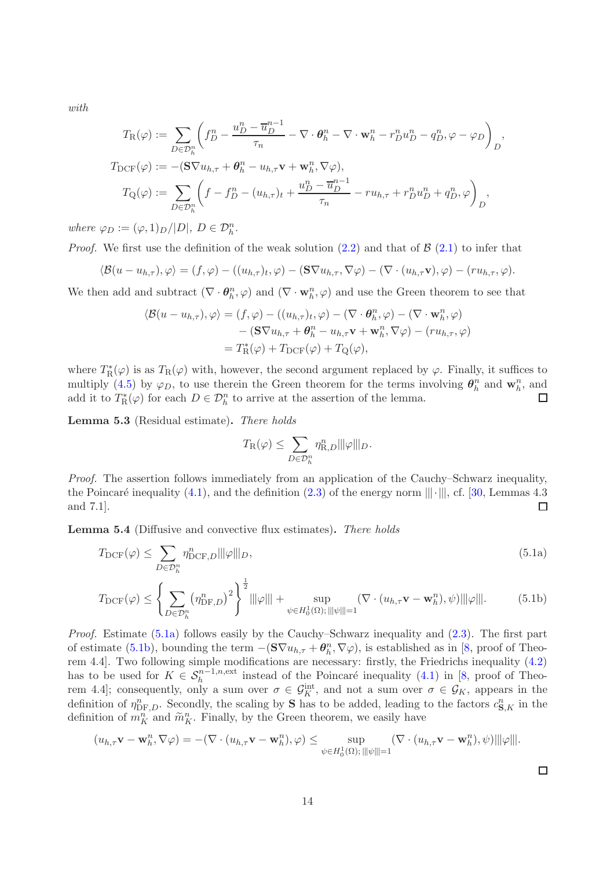with

$$
T_{\mathcal{R}}(\varphi) := \sum_{D \in \mathcal{D}_{h}^{n}} \left( f_{D}^{n} - \frac{u_{D}^{n} - \overline{u}_{D}^{n-1}}{\tau_{n}} - \nabla \cdot \boldsymbol{\theta}_{h}^{n} - \nabla \cdot \mathbf{w}_{h}^{n} - r_{D}^{n} u_{D}^{n} - q_{D}^{n}, \varphi - \varphi_{D} \right)_{D},
$$
  
\n
$$
T_{\mathcal{D}CF}(\varphi) := -(\mathbf{S} \nabla u_{h,\tau} + \boldsymbol{\theta}_{h}^{n} - u_{h,\tau} \mathbf{v} + \mathbf{w}_{h}^{n}, \nabla \varphi),
$$
  
\n
$$
T_{\mathcal{Q}}(\varphi) := \sum_{D \in \mathcal{D}_{h}^{n}} \left( f - f_{D}^{n} - (u_{h,\tau})_{t} + \frac{u_{D}^{n} - \overline{u}_{D}^{n-1}}{\tau_{n}} - ru_{h,\tau} + r_{D}^{n} u_{D}^{n} + q_{D}^{n}, \varphi \right)_{D},
$$

where  $\varphi_D := (\varphi, 1)_D / |D|, D \in \mathcal{D}_h^n$ .

*Proof.* We first use the definition of the weak solution [\(2.2\)](#page-3-1) and that of  $\mathcal{B}(2.1)$  $\mathcal{B}(2.1)$  to infer that

$$
\langle \mathcal{B}(u-u_{h,\tau}),\varphi\rangle=(f,\varphi)-((u_{h,\tau})_t,\varphi)-(\mathbf{S}\nabla u_{h,\tau},\nabla\varphi)-(\nabla\cdot(u_{h,\tau}\mathbf{v}),\varphi)-(ru_{h,\tau},\varphi).
$$

We then add and subtract  $(\nabla \cdot \theta_h^n, \varphi)$  and  $(\nabla \cdot \mathbf{w}_h^n, \varphi)$  and use the Green theorem to see that

$$
\langle \mathcal{B}(u - u_{h,\tau}), \varphi \rangle = (f, \varphi) - ((u_{h,\tau})_t, \varphi) - (\nabla \cdot \boldsymbol{\theta}_h^n, \varphi) - (\nabla \cdot \mathbf{w}_h^n, \varphi)
$$
  
- 
$$
(\mathbf{S} \nabla u_{h,\tau} + \boldsymbol{\theta}_h^n - u_{h,\tau} \mathbf{v} + \mathbf{w}_h^n, \nabla \varphi) - (r u_{h,\tau}, \varphi)
$$
  
= 
$$
T_{\mathbf{R}}^*(\varphi) + T_{\text{DCF}}(\varphi) + T_{\mathbf{Q}}(\varphi),
$$

where  $T_{\rm R}^*(\varphi)$  is as  $T_{\rm R}(\varphi)$  with, however, the second argument replaced by  $\varphi$ . Finally, it suffices to multiply [\(4.5\)](#page-8-1) by  $\varphi_D$ , to use therein the Green theorem for the terms involving  $\theta_h^n$  and  $\mathbf{w}_h^n$ , and add it to  $T_{\mathcal{R}}^{*}(\varphi)$  for each  $D \in \mathcal{D}_{h}^{n}$  to arrive at the assertion of the lemma. П

Lemma 5.3 (Residual estimate). There holds

<span id="page-13-1"></span><span id="page-13-0"></span>
$$
T_{\rm R}(\varphi)\leq \sum_{D\in \mathcal{D}_h^n}\eta_{{\rm R},D}^n\||\varphi\||_D.
$$

Proof. The assertion follows immediately from an application of the Cauchy–Schwarz inequality, the Poincaré inequality [\(4.1\)](#page-7-1), and the definition [\(2.3\)](#page-3-4) of the energy norm  $|||\cdot|||$ , cf. [\[30,](#page-25-3) Lemmas 4.3 and 7.1]. and 7.1].

<span id="page-13-2"></span>Lemma 5.4 (Diffusive and convective flux estimates). There holds

$$
T_{\text{DCF}}(\varphi) \le \sum_{D \in \mathcal{D}_h^n} \eta_{\text{DCF},D}^n |||\varphi|| ||_D,\tag{5.1a}
$$

$$
T_{\text{DCF}}(\varphi) \le \left\{ \sum_{D \in \mathcal{D}_h^n} \left( \eta_{\text{DF},D}^n \right)^2 \right\}^{\frac{1}{2}} \|\varphi\| + \sup_{\psi \in H_0^1(\Omega); \|\psi\| = 1} \left( \nabla \cdot (u_{h,\tau} \mathbf{v} - \mathbf{w}_h^n), \psi \right) \|\varphi\| \tag{5.1b}
$$

Proof. Estimate [\(5.1a\)](#page-13-0) follows easily by the Cauchy–Schwarz inequality and [\(2.3\)](#page-3-4). The first part of estimate [\(5.1b\)](#page-13-1), bounding the term  $-(\mathbf{S}\nabla u_{h,\tau}+\boldsymbol{\theta}_h^n,\nabla\varphi)$ , is established as in [\[8,](#page-24-14) proof of Theorem 4.4]. Two following simple modifications are necessary: firstly, the Friedrichs inequality [\(4.2\)](#page-7-2) has to be used for  $K \in S_h^{n-1,n,\text{ext}}$  instead of the Poincaré inequality [\(4.1\)](#page-7-1) in [\[8,](#page-24-14) proof of Theorem 4.4]; consequently, only a sum over  $\sigma \in \mathcal{G}_K^{\text{int}}$ , and not a sum over  $\sigma \in \mathcal{G}_K$ , appears in the definition of  $\eta_{\text{DF},D}^n$ . Secondly, the scaling by **S** has to be added, leading to the factors  $c_{\mathbf{S},K}^n$  in the definition of  $m_K^n$  and  $\widetilde{m}_K^n$ . Finally, by the Green theorem, we easily have

$$
(u_{h,\tau}\mathbf{v}-\mathbf{w}_h^n,\nabla\varphi)=-(\nabla\cdot(u_{h,\tau}\mathbf{v}-\mathbf{w}_h^n),\varphi)\leq \sup_{\psi\in H_0^1(\Omega);\,||\psi|||=1}(\nabla\cdot(u_{h,\tau}\mathbf{v}-\mathbf{w}_h^n),\psi)||\varphi|||.
$$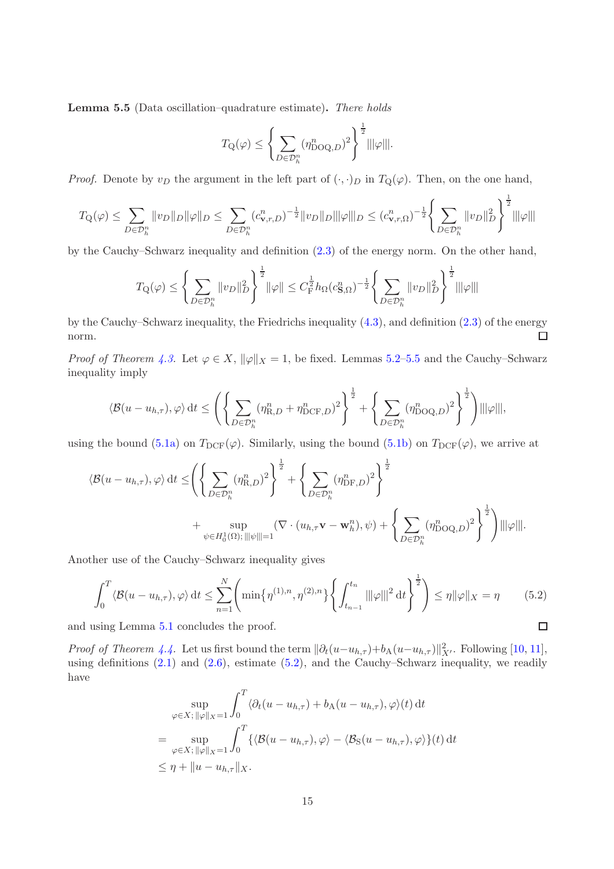<span id="page-14-0"></span>Lemma 5.5 (Data oscillation–quadrature estimate). There holds

$$
T_{\mathbf{Q}}(\varphi) \le \left\{ \sum_{D \in \mathcal{D}_h^n} (\eta_{\mathrm{DOQ},D}^n)^2 \right\}^{\frac{1}{2}} \|\|\varphi\|\|.
$$

*Proof.* Denote by  $v_D$  the argument in the left part of  $(\cdot, \cdot)_D$  in  $T_Q(\varphi)$ . Then, on the one hand,

$$
T_{\mathbf{Q}}(\varphi) \leq \sum_{D \in \mathcal{D}_h^n} \|v_D\|_{D} \|\varphi\|_{D} \leq \sum_{D \in \mathcal{D}_h^n} (c_{\mathbf{v},r,D}^n)^{-\frac{1}{2}} \|v_D\|_{D} \|\varphi\|_{D} \leq (c_{\mathbf{v},r,\Omega}^n)^{-\frac{1}{2}} \left\{ \sum_{D \in \mathcal{D}_h^n} \|v_D\|_{D}^2 \right\}^{\frac{1}{2}} \|\|\varphi\|_{D} \leq C_{\mathbf{v},r,\Omega} \|\varphi\|_{D} \leq C_{\mathbf{v},r,\Omega} \|\varphi\|_{D} \leq C_{\mathbf{v},r,\Omega} \|\varphi\|_{D} \leq C_{\mathbf{v},r,\Omega} \|\varphi\|_{D} \leq C_{\mathbf{v},r,\Omega} \|\varphi\|_{D} \leq C_{\mathbf{v},r,\Omega} \|\varphi\|_{D} \leq C_{\mathbf{v},r,\Omega} \|\varphi\|_{D} \leq C_{\mathbf{v},r,\Omega} \|\varphi\|_{D} \leq C_{\mathbf{v},r,\Omega} \|\varphi\|_{D} \leq C_{\mathbf{v},r,\Omega} \|\varphi\|_{D} \leq C_{\mathbf{v},r,\Omega} \|\varphi\|_{D} \leq C_{\mathbf{v},r,\Omega} \|\varphi\|_{D} \leq C_{\mathbf{v},r,\Omega} \|\varphi\|_{D} \leq C_{\mathbf{v},r,\Omega} \|\varphi\|_{D} \leq C_{\mathbf{v},r,\Omega} \|\varphi\|_{D} \leq C_{\mathbf{v},r,\Omega} \|\varphi\|_{D} \leq C_{\mathbf{v},r,\Omega} \|\varphi\|_{D} \leq C_{\mathbf{v},r,\Omega} \|\varphi\|_{D} \leq C_{\mathbf{v},r,\Omega} \|\varphi\|_{D} \leq C_{\mathbf{v},r,\Omega} \|\varphi\|_{D} \leq C_{\mathbf{v},r,\Omega} \|\varphi\|_{D} \leq C_{\mathbf{v},r,\Omega} \|\varphi\|_{D} \leq C_{\mathbf{v},r,\Omega} \|\varphi\|_{D} \leq C_{\mathbf{v},r,\Omega} \|\varphi\|_{D}
$$

by the Cauchy–Schwarz inequality and definition [\(2.3\)](#page-3-4) of the energy norm. On the other hand,

$$
T_{\mathcal{Q}}(\varphi) \le \left\{ \sum_{D \in \mathcal{D}_h^n} ||v_D||_D^2 \right\}^{\frac{1}{2}} ||\varphi|| \le C_F^{\frac{1}{2}} h_{\Omega}(c_{\mathbf{S},\Omega}^n)^{-\frac{1}{2}} \left\{ \sum_{D \in \mathcal{D}_h^n} ||v_D||_D^2 \right\}^{\frac{1}{2}} |||\varphi||||
$$

by the Cauchy–Schwarz inequality, the Friedrichs inequality [\(4.3\)](#page-7-3), and definition [\(2.3\)](#page-3-4) of the energy norm.  $\Box$ 

*Proof of Theorem [4.3.](#page-10-0)* Let  $\varphi \in X$ ,  $\|\varphi\|_X = 1$ , be fixed. Lemmas [5.2](#page-12-3)[–5.5](#page-14-0) and the Cauchy–Schwarz inequality imply

$$
\langle \mathcal{B}(u - u_{h,\tau}), \varphi \rangle dt \le \left( \left\{ \sum_{D \in \mathcal{D}_h^n} (\eta_{\text{R},D}^n + \eta_{\text{DCF},D}^n)^2 \right\}^{\frac{1}{2}} + \left\{ \sum_{D \in \mathcal{D}_h^n} (\eta_{\text{DOQ},D}^n)^2 \right\}^{\frac{1}{2}} \right) |||\varphi|||,
$$

using the bound [\(5.1a\)](#page-13-0) on  $T_{\text{DCF}}(\varphi)$ . Similarly, using the bound [\(5.1b\)](#page-13-1) on  $T_{\text{DCF}}(\varphi)$ , we arrive at

$$
\langle \mathcal{B}(u - u_{h,\tau}), \varphi \rangle dt \leq \left( \left\{ \sum_{D \in \mathcal{D}_h^n} (\eta_{\text{R},D}^n)^2 \right\}^{\frac{1}{2}} + \left\{ \sum_{D \in \mathcal{D}_h^n} (\eta_{\text{DF},D}^n)^2 \right\}^{\frac{1}{2}} + \left\{ \sum_{D \in \mathcal{D}_h^n} (\eta_{\text{DF},D}^n)^2 \right\}^{\frac{1}{2}} + \sup_{\psi \in H_0^1(\Omega); \|\|\psi\|\|=1} (\nabla \cdot (u_{h,\tau} \mathbf{v} - \mathbf{w}_h^n), \psi) + \left\{ \sum_{D \in \mathcal{D}_h^n} (\eta_{\text{DOQ},D}^n)^2 \right\}^{\frac{1}{2}} \right) \|\|\varphi\|\|.
$$

Another use of the Cauchy–Schwarz inequality gives

<span id="page-14-1"></span>
$$
\int_0^T \langle \mathcal{B}(u - u_{h,\tau}), \varphi \rangle dt \le \sum_{n=1}^N \left( \min\{\eta^{(1),n}, \eta^{(2),n}\} \left\{ \int_{t_{n-1}}^{t_n} ||\varphi||^2 dt \right\}^{\frac{1}{2}} \right) \le \eta \|\varphi\|_X = \eta \tag{5.2}
$$
  
using Lemma 5.1 concludes the proof.

and using Lemma [5.1](#page-12-4) concludes the proof.

*Proof of Theorem [4.4.](#page-10-1)* Let us first bound the term  $\|\partial_t(u-u_{h,\tau})+b_A(u-u_{h,\tau})\|_{X'}^2$ . Following [\[10,](#page-24-8) [11\]](#page-24-9), using definitions  $(2.1)$  and  $(2.6)$ , estimate  $(5.2)$ , and the Cauchy–Schwarz inequality, we readily have

$$
\sup_{\varphi \in X; \|\varphi\|_{X} = 1} \int_{0}^{T} \langle \partial_{t} (u - u_{h,\tau}) + b_{A} (u - u_{h,\tau}), \varphi \rangle(t) dt
$$
\n
$$
= \sup_{\varphi \in X; \|\varphi\|_{X} = 1} \int_{0}^{T} \{ \langle \mathcal{B} (u - u_{h,\tau}), \varphi \rangle - \langle \mathcal{B}_{S} (u - u_{h,\tau}), \varphi \rangle \}(t) dt
$$
\n
$$
\leq \eta + \|u - u_{h,\tau}\|_{X}.
$$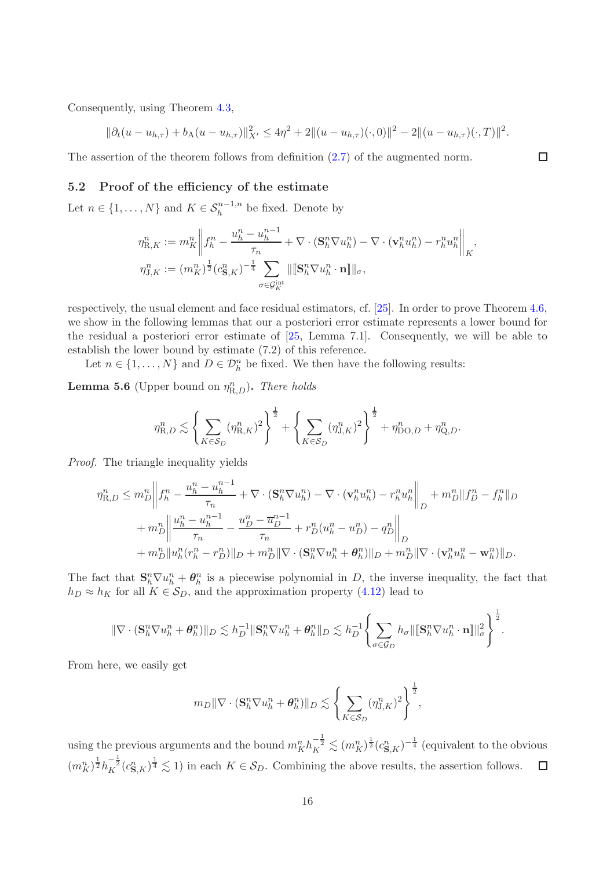Consequently, using Theorem [4.3,](#page-10-0)

$$
\|\partial_t(u - u_{h,\tau}) + b_A(u - u_{h,\tau})\|_{X'}^2 \le 4\eta^2 + 2\|(u - u_{h,\tau})(\cdot, 0)\|^2 - 2\|(u - u_{h,\tau})(\cdot, T)\|^2.
$$

The assertion of the theorem follows from definition [\(2.7\)](#page-3-2) of the augmented norm.

## 5.2 Proof of the efficiency of the estimate

Let  $n \in \{1, ..., N\}$  and  $K \in S_h^{n-1,n}$  be fixed. Denote by

$$
\eta_{\mathrm{R},K}^n := m_K^n \left\| f_h^n - \frac{u_h^n - u_h^{n-1}}{\tau_n} + \nabla \cdot (\mathbf{S}_h^n \nabla u_h^n) - \nabla \cdot (\mathbf{v}_h^n u_h^n) - r_h^n u_h^n \right\|_K,
$$
  

$$
\eta_{\mathrm{J},K}^n := (m_K^n)^{\frac{1}{2}} (c_{\mathbf{S},K}^n)^{-\frac{1}{4}} \sum_{\sigma \in \mathcal{G}_K^{\mathrm{int}}} \| [\mathbf{S}_h^n \nabla u_h^n \cdot \mathbf{n} ] \|_{\sigma},
$$

respectively, the usual element and face residual estimators, cf. [\[25\]](#page-25-2). In order to prove Theorem [4.6,](#page-12-2) we show in the following lemmas that our a posteriori error estimate represents a lower bound for the residual a posteriori error estimate of [\[25,](#page-25-2) Lemma 7.1]. Consequently, we will be able to establish the lower bound by estimate (7.2) of this reference.

Let  $n \in \{1, ..., N\}$  and  $D \in \mathcal{D}_{h}^{n}$  be fixed. We then have the following results:

<span id="page-15-0"></span>**Lemma 5.6** (Upper bound on  $\eta_{\text{R},D}^n$ ). There holds

$$
\eta_{\text{R},D}^{n} \lesssim \left\{ \sum_{K \in \mathcal{S}_{D}} (\eta_{\text{R},K}^{n})^{2} \right\}^{\frac{1}{2}} + \left\{ \sum_{K \in \mathcal{S}_{D}} (\eta_{\text{J},K}^{n})^{2} \right\}^{\frac{1}{2}} + \eta_{\text{DO},D}^{n} + \eta_{\text{Q},D}^{n}.
$$

Proof. The triangle inequality yields

$$
\eta_{R,D}^{n} \leq m_{D}^{n} \left\| f_{h}^{n} - \frac{u_{h}^{n} - u_{h}^{n-1}}{\tau_{n}} + \nabla \cdot (\mathbf{S}_{h}^{n} \nabla u_{h}^{n}) - \nabla \cdot (\mathbf{v}_{h}^{n} u_{h}^{n}) - r_{h}^{n} u_{h}^{n} \right\|_{D} + m_{D}^{n} \| f_{D}^{n} - f_{h}^{n} \|_{D}
$$

$$
+ m_{D}^{n} \left\| \frac{u_{h}^{n} - u_{h}^{n-1}}{\tau_{n}} - \frac{u_{D}^{n} - \overline{u}_{D}^{n-1}}{\tau_{n}} + r_{D}^{n} (u_{h}^{n} - u_{D}^{n}) - q_{D}^{n} \right\|_{D}
$$

$$
+ m_{D}^{n} \| u_{h}^{n} (r_{h}^{n} - r_{D}^{n}) \|_{D} + m_{D}^{n} \| \nabla \cdot (\mathbf{S}_{h}^{n} \nabla u_{h}^{n} + \boldsymbol{\theta}_{h}^{n}) \|_{D} + m_{D}^{n} \| \nabla \cdot (\mathbf{v}_{h}^{n} u_{h}^{n} - \mathbf{w}_{h}^{n}) \|_{D}.
$$

The fact that  $\mathbf{S}_h^n \nabla u_h^n + \theta_h^n$  is a piecewise polynomial in D, the inverse inequality, the fact that  $h_D \approx h_K$  for all  $K \in S_D$ , and the approximation property [\(4.12\)](#page-11-0) lead to

$$
\|\nabla\cdot(\mathbf{S}_h^n\nabla u_h^n+\pmb{\theta}_h^n)\|_D\lesssim h_D^{-1}\|\mathbf{S}_h^n\nabla u_h^n+\pmb{\theta}_h^n\|_D\lesssim h_D^{-1}\Biggl\{\sum_{\sigma\in\mathcal{G}_D}h_\sigma\|[\mathbf{S}_h^n\nabla u_h^n\cdot\mathbf{n}]\|_\sigma^2\Biggr\}^{\frac{1}{2}}.
$$

From here, we easily get

$$
m_D \|\nabla \cdot (\mathbf{S}_h^n \nabla u_h^n + \boldsymbol{\theta}_h^n) \|_D \lesssim \left\{ \sum_{K \in \mathcal{S}_D} (\eta_{J,K}^n)^2 \right\}^{\frac{1}{2}},
$$

using the previous arguments and the bound  $m_K^n h_K^{-\frac{1}{2}} \lesssim (m_K^n)^{\frac{1}{2}} (c_{\mathbf{S},K}^n)^{-\frac{1}{4}}$  (equivalent to the obvious  $(m_K^n)^{\frac{1}{2}} h_K^{-\frac{1}{2}}(c_{\mathbf{S},K}^n)^{\frac{1}{4}} \lesssim 1$  in each  $K \in \mathcal{S}_D$ . Combining the above results, the assertion follows.  $\Box$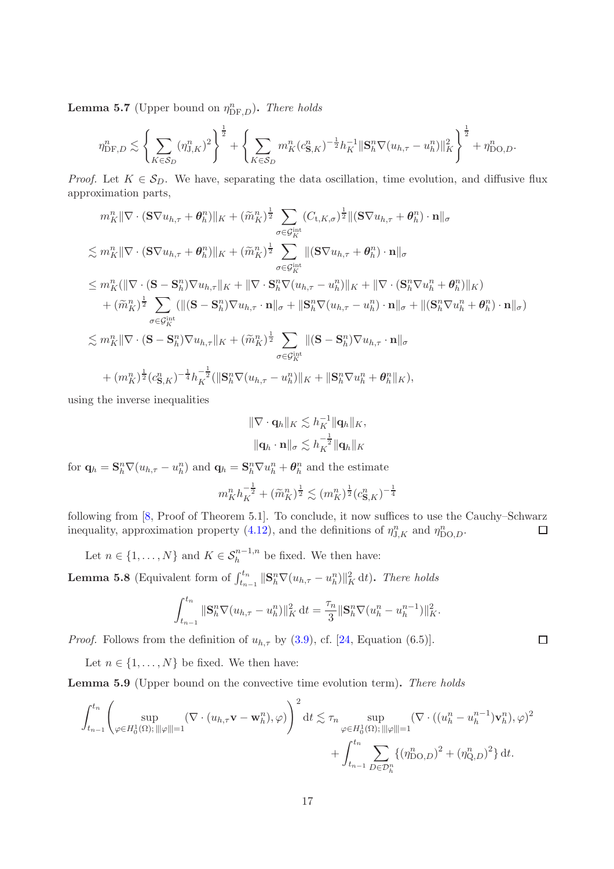**Lemma 5.7** (Upper bound on  $\eta_{\text{DF},D}^n$ ). There holds

$$
\eta_{\mathrm{DF},D}^n \lesssim \left\{ \sum_{K \in \mathcal{S}_D} (\eta_{\mathrm{J},K}^n)^2 \right\}^{\frac{1}{2}} + \left\{ \sum_{K \in \mathcal{S}_D} m_K^n (c_{\mathbf{S},K}^n)^{-\frac{1}{2}} h_K^{-1} ||\mathbf{S}_h^n \nabla (u_{h,\tau} - u_h^n) ||_K^2 \right\}^{\frac{1}{2}} + \eta_{\mathrm{DO},D}^n.
$$

*Proof.* Let  $K \in S_D$ . We have, separating the data oscillation, time evolution, and diffusive flux approximation parts,

$$
m_K^n \|\nabla \cdot (\mathbf{S} \nabla u_{h,\tau} + \theta_h^n) \|_{K} + (\tilde{m}_K^n)^{\frac{1}{2}} \sum_{\sigma \in \mathcal{G}_K^{\text{int}}} (C_{\mathbf{t},K,\sigma})^{\frac{1}{2}} \| (\mathbf{S} \nabla u_{h,\tau} + \theta_h^n) \cdot \mathbf{n} \|_{\sigma}
$$
  
\n
$$
\lesssim m_K^n \|\nabla \cdot (\mathbf{S} \nabla u_{h,\tau} + \theta_h^n) \|_{K} + (\tilde{m}_K^n)^{\frac{1}{2}} \sum_{\sigma \in \mathcal{G}_K^{\text{int}}} \| (\mathbf{S} \nabla u_{h,\tau} + \theta_h^n) \cdot \mathbf{n} \|_{\sigma}
$$
  
\n
$$
\leq m_K^n (\|\nabla \cdot (\mathbf{S} - \mathbf{S}_h^n) \nabla u_{h,\tau} \|_{K} + \|\nabla \cdot \mathbf{S}_h^n \nabla (u_{h,\tau} - u_h^n) \|_{K} + \|\nabla \cdot (\mathbf{S}_h^n \nabla u_h^n + \theta_h^n) \|_{K})
$$
  
\n
$$
+ (\tilde{m}_K^n)^{\frac{1}{2}} \sum_{\sigma \in \mathcal{G}_K^{\text{int}}} ( \| (\mathbf{S} - \mathbf{S}_h^n) \nabla u_{h,\tau} \cdot \mathbf{n} \|_{\sigma} + \| \mathbf{S}_h^n \nabla (u_{h,\tau} - u_h^n) \cdot \mathbf{n} \|_{\sigma} + \| (\mathbf{S}_h^n \nabla u_h^n + \theta_h^n) \cdot \mathbf{n} \|_{\sigma} )
$$
  
\n
$$
\lesssim m_K^n \|\nabla \cdot (\mathbf{S} - \mathbf{S}_h^n) \nabla u_{h,\tau} \|_{K} + (\tilde{m}_K^n)^{\frac{1}{2}} \sum_{\sigma \in \mathcal{G}_K^{\text{int}}} \| (\mathbf{S} - \mathbf{S}_h^n) \nabla u_{h,\tau} \cdot \mathbf{n} \|_{\sigma}
$$
  
\n
$$
+ (m_K^n)^{\frac{1}{2}} (c_{\mathbf{S},K}^n)^{-\frac{1}{4}} h_K^{-\frac{1}{2}} (\|\mathbf{S}_h^n \nabla (u_{h,\tau} - u_h^n) \|_{K} + \|\mathbf{S
$$

using the inverse inequalities

$$
\begin{aligned} \|\nabla \cdot \mathbf{q}_h\|_K &\lesssim h_K^{-1} \|\mathbf{q}_h\|_K, \\ \|\mathbf{q}_h \cdot \mathbf{n}\|_{\sigma} &\lesssim h_K^{-\frac{1}{2}} \|\mathbf{q}_h\|_K \end{aligned}
$$

for  $\mathbf{q}_h = \mathbf{S}_h^n \nabla (u_{h,\tau} - u_h^n)$  and  $\mathbf{q}_h = \mathbf{S}_h^n \nabla u_h^n + \boldsymbol{\theta}_h^n$  and the estimate

$$
m_K^n h_K^{-\frac{1}{2}} + (\widetilde{m}_K^n)^{\frac{1}{2}} \lesssim (m_K^n)^{\frac{1}{2}} (c_{\mathbf{S},K}^n)^{-\frac{1}{4}}
$$

following from [\[8,](#page-24-14) Proof of Theorem 5.1]. To conclude, it now suffices to use the Cauchy–Schwarz inequality, approximation property [\(4.12\)](#page-11-0), and the definitions of  $\eta_{J,K}^n$  and  $\eta_{\text{DO},D}^n$ .  $\Box$ 

Let  $n \in \{1, ..., N\}$  and  $K \in S_h^{n-1,n}$  be fixed. We then have:

<span id="page-16-0"></span>**Lemma 5.8** (Equivalent form of  $\int_{t_{n-1}}^{t_n} ||S_h^n \nabla(u_{h,\tau} - u_h^n)||_K^2 dt$ ). There holds

$$
\int_{t_{n-1}}^{t_n} \|\mathbf{S}_h^n \nabla (u_{h,\tau} - u_h^n)\|_K^2 dt = \frac{\tau_n}{3} \|\mathbf{S}_h^n \nabla (u_h^n - u_h^{n-1})\|_K^2.
$$

*Proof.* Follows from the definition of  $u_{h,\tau}$  by [\(3.9\)](#page-6-3), cf. [\[24,](#page-25-11) Equation (6.5)].

Let  $n \in \{1, ..., N\}$  be fixed. We then have:

<span id="page-16-1"></span>Lemma 5.9 (Upper bound on the convective time evolution term). There holds

$$
\int_{t_{n-1}}^{t_n} \left( \sup_{\varphi \in H_0^1(\Omega); \|\|\varphi\|=1} (\nabla \cdot (u_{h,\tau} \mathbf{v} - \mathbf{w}_h^n), \varphi) \right)^2 dt \lesssim \tau_n \sup_{\varphi \in H_0^1(\Omega); \|\|\varphi\|=1} (\nabla \cdot ((u_h^n - u_h^{n-1}) \mathbf{v}_h^n), \varphi)^2 + \int_{t_{n-1}}^{t_n} \sum_{D \in \mathcal{D}_h^n} \{ (\eta_{\text{DO},D}^n)^2 + (\eta_{\text{Q},D}^n)^2 \} dt.
$$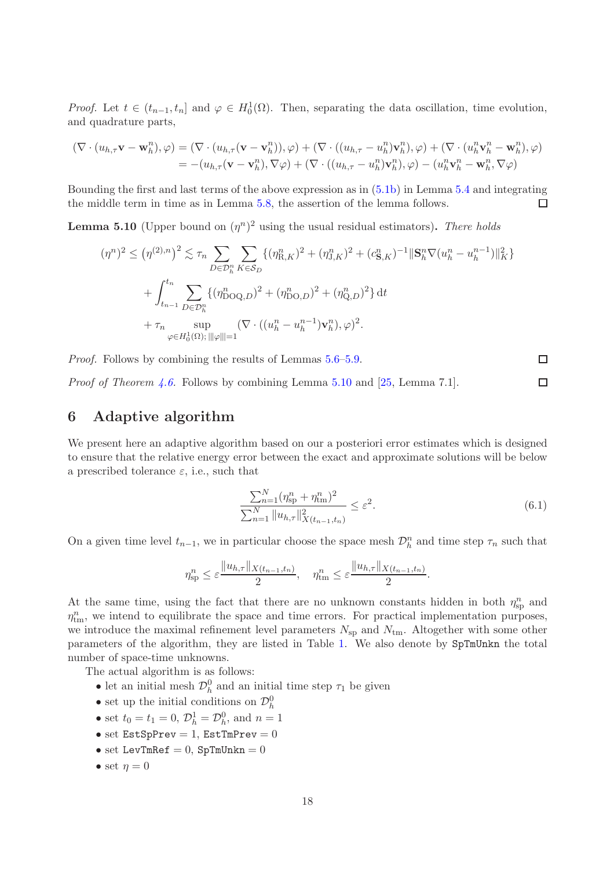*Proof.* Let  $t \in (t_{n-1}, t_n]$  and  $\varphi \in H_0^1(\Omega)$ . Then, separating the data oscillation, time evolution, and quadrature parts,

$$
(\nabla \cdot (u_{h,\tau} \mathbf{v} - \mathbf{w}_h^n), \varphi) = (\nabla \cdot (u_{h,\tau} (\mathbf{v} - \mathbf{v}_h^n)), \varphi) + (\nabla \cdot ((u_{h,\tau} - u_h^n) \mathbf{v}_h^n), \varphi) + (\nabla \cdot (u_h^n \mathbf{v}_h^n - \mathbf{w}_h^n), \varphi) = -(u_{h,\tau} (\mathbf{v} - \mathbf{v}_h^n), \nabla \varphi) + (\nabla \cdot ((u_{h,\tau} - u_h^n) \mathbf{v}_h^n), \varphi) - (u_h^n \mathbf{v}_h^n - \mathbf{w}_h^n, \nabla \varphi)
$$

Bounding the first and last terms of the above expression as in [\(5.1b\)](#page-13-1) in Lemma [5.4](#page-13-2) and integrating the middle term in time as in Lemma [5.8,](#page-16-0) the assertion of the lemma follows.  $\Box$ 

<span id="page-17-1"></span>**Lemma 5.10** (Upper bound on  $(\eta^n)^2$  using the usual residual estimators). There holds

$$
(\eta^{n})^{2} \leq (\eta^{(2),n})^{2} \lesssim \tau_{n} \sum_{D \in \mathcal{D}_{h}^{n}} \sum_{K \in \mathcal{S}_{D}} \{ (\eta_{R,K}^{n})^{2} + (\eta_{J,K}^{n})^{2} + (c_{\mathbf{S},K}^{n})^{-1} \|\mathbf{S}_{h}^{n} \nabla (u_{h}^{n} - u_{h}^{n-1})\|_{K}^{2} \} + \int_{t_{n-1}}^{t_{n}} \sum_{D \in \mathcal{D}_{h}^{n}} \{ (\eta_{\text{DOQ},D}^{n})^{2} + (\eta_{\text{DO},D}^{n})^{2} + (\eta_{\text{Q},D}^{n})^{2} \} dt + \tau_{n} \sup_{\varphi \in H_{0}^{1}(\Omega); \, ||\varphi||=1} (\nabla \cdot ((u_{h}^{n} - u_{h}^{n-1}) \mathbf{v}_{h}^{n}), \varphi)^{2}.
$$

Proof. Follows by combining the results of Lemmas [5.6](#page-15-0)[–5.9.](#page-16-1)

*Proof of Theorem [4.6.](#page-12-2)* Follows by combining Lemma [5.10](#page-17-1) and [\[25,](#page-25-2) Lemma 7.1].

# <span id="page-17-0"></span>6 Adaptive algorithm

We present here an adaptive algorithm based on our a posteriori error estimates which is designed to ensure that the relative energy error between the exact and approximate solutions will be below a prescribed tolerance  $\varepsilon$ , i.e., such that

<span id="page-17-2"></span>
$$
\frac{\sum_{n=1}^{N} (\eta_{\text{sp}}^n + \eta_{\text{tm}}^n)^2}{\sum_{n=1}^{N} \|u_{h,\tau}\|_{X(t_{n-1}, t_n)}^2} \le \varepsilon^2.
$$
\n(6.1)

.

On a given time level  $t_{n-1}$ , we in particular choose the space mesh  $\mathcal{D}_h^n$  and time step  $\tau_n$  such that

$$
\eta_{\rm sp}^n \leq \varepsilon \frac{\|u_{h,\tau}\|_{X(t_{n-1},t_n)}}{2}, \quad \eta_{\rm tm}^n \leq \varepsilon \frac{\|u_{h,\tau}\|_{X(t_{n-1},t_n)}}{2}
$$

At the same time, using the fact that there are no unknown constants hidden in both  $\eta_{\rm sp}^n$  and  $\eta_{tm}^n$ , we intend to equilibrate the space and time errors. For practical implementation purposes, we introduce the maximal refinement level parameters  $N_{\rm sp}$  and  $N_{\rm tm}$ . Altogether with some other parameters of the algorithm, they are listed in Table [1.](#page-18-0) We also denote by SpTmUnkn the total number of space-time unknowns.

The actual algorithm is as follows:

- let an initial mesh  $\mathcal{D}_h^0$  and an initial time step  $\tau_1$  be given
- set up the initial conditions on  $\mathcal{D}_h^0$
- set  $t_0 = t_1 = 0, \, \mathcal{D}_h^1 = \mathcal{D}_h^0$ , and  $n = 1$
- set  $EstSpPrev = 1$ ,  $EstImPrev = 0$
- set LevTmRef =  $0$ , SpTmUnkn =  $0$
- set  $\eta = 0$

 $\Box$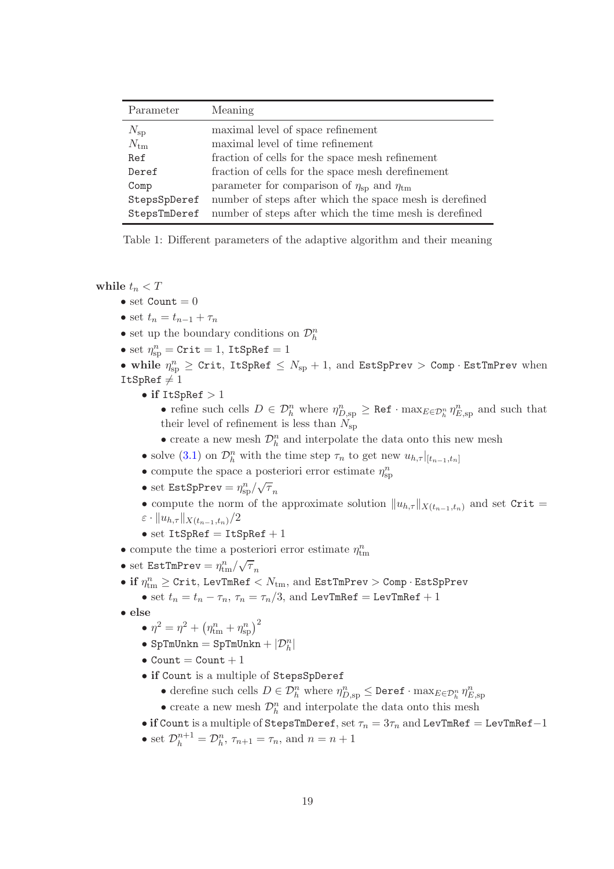| Parameter    | Meaning                                                           |
|--------------|-------------------------------------------------------------------|
| $N_{\rm sp}$ | maximal level of space refinement                                 |
| $N_{\rm tm}$ | maximal level of time refinement                                  |
| Ref          | fraction of cells for the space mesh refinement                   |
| Deref        | fraction of cells for the space mesh derefinement                 |
| Comp         | parameter for comparison of $\eta_{\rm{sp}}$ and $\eta_{\rm{tm}}$ |
| StepsSpDeref | number of steps after which the space mesh is derefined           |
| StepsTmDeref | number of steps after which the time mesh is derefined            |

<span id="page-18-0"></span>Table 1: Different parameters of the adaptive algorithm and their meaning

while  $t_n < T$ 

- set  $Count = 0$
- set  $t_n = t_{n-1} + \tau_n$
- $\bullet$  set up the boundary conditions on  $\mathcal{D}_h^n$
- set  $\eta_{\text{sp}}^n = \text{Crit} = 1$ , ItSpRef = 1
- while  $\eta_{\text{sp}}^n \geq \text{Crit}, \text{ItSpRef } \leq N_{\text{sp}} + 1, \text{ and } \text{EstSpPrev } > \text{Comp} \cdot \text{EstImPrev}$  when ItSpRef  $\neq 1$ 
	- if  $ItSpRef > 1$

• refine such cells  $D \in \mathcal{D}_h^n$  where  $\eta_{D,sp}^n \geq \texttt{Ref} \cdot \max_{E \in \mathcal{D}_h^n} \eta_{E,sp}^n$  and such that their level of refinement is less than  $N_{\rm sp}$ 

- $\bullet$  create a new mesh  $\mathcal{D}_h^n$  and interpolate the data onto this new mesh
- solve [\(3.1\)](#page-5-1) on  $\mathcal{D}_h^n$  with the time step  $\tau_n$  to get new  $u_{h,\tau}|_{[t_{n-1},t_n]}$
- $\bullet$  compute the space a posteriori error estimate  $\eta_{\text{sp}}^n$
- set EstSpPrev =  $\eta_{\rm sp}^n / \sqrt{\tau}_n$
- compute the norm of the approximate solution  $||u_{h,\tau}||_{X(t_{n-1},t_n)}$  and set Crit =  $\varepsilon$  ·  $||u_{h,\tau}||_{X(t_{n-1},t_n)}/2$
- set  $ItSpRef = ItSpRef + 1$
- $\bullet$  compute the time a posteriori error estimate  $\eta_{\mathrm{tm}}^n$
- set EstTmPrev =  $\eta_{\rm tm}^n/\sqrt{\tau}_n$
- $\bullet$  if  $\eta_{\rm tm}^n \geq$  Crit, LevTmRef  $< N_{\rm tm}, \, {\rm and} \, \, {\tt EstTmPrev} >$  Comp $\cdot \, {\tt EstSpPrev}$ 
	- set  $t_n = t_n \tau_n$ ,  $\tau_n = \tau_n/3$ , and LevTmRef = LevTmRef + 1
- else

$$
\bullet \ \eta^2 = \eta^2 + \left(\eta^n_{\rm tm} + \eta^n_{\rm sp}\right)^2
$$

- $\bullet$  SpTmUnkn = SpTmUnkn +  $|\mathcal{D}_h^n|$
- Count  $=$  Count  $+1$
- if Count is a multiple of StepsSpDeref
	- derefine such cells  $D \in \mathcal{D}_h^n$  where  $\eta_{D,sp}^n \leq$  Deref  $\cdot$  max $_{E \in \mathcal{D}_h^n} \eta_{E,sp}^n$
	- $\bullet$  create a new mesh  $\mathcal{D}_h^n$  and interpolate the data onto this mesh
- if Count is a multiple of StepsTmDeref, set  $\tau_n = 3\tau_n$  and LevTmRef = LevTmRef-1
- set  $\mathcal{D}_h^{n+1} = \mathcal{D}_h^n$ ,  $\tau_{n+1} = \tau_n$ , and  $n = n+1$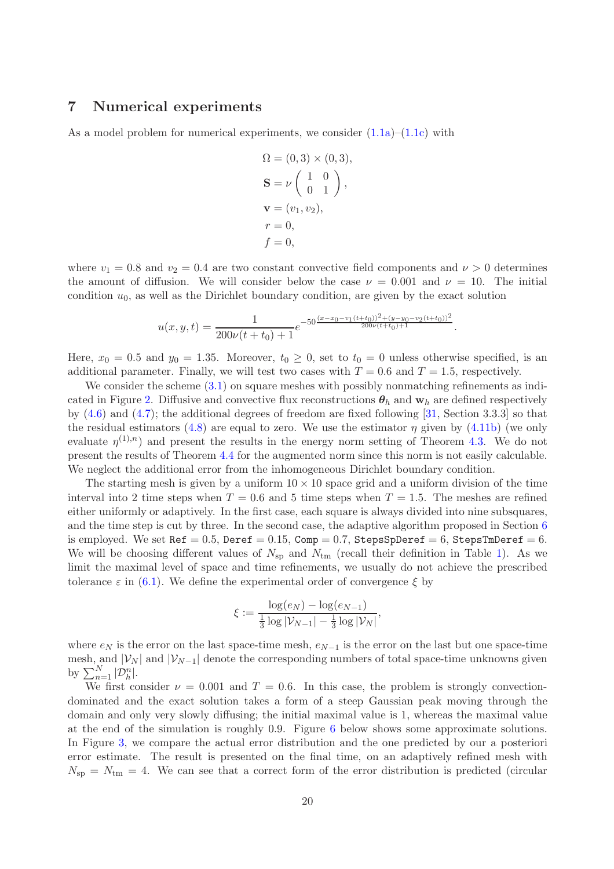# <span id="page-19-0"></span>7 Numerical experiments

As a model problem for numerical experiments, we consider  $(1.1a)$ – $(1.1c)$  with

$$
\Omega = (0,3) \times (0,3),
$$
  
\n
$$
\mathbf{S} = \nu \begin{pmatrix} 1 & 0 \\ 0 & 1 \end{pmatrix},
$$
  
\n
$$
\mathbf{v} = (v_1, v_2),
$$
  
\n
$$
r = 0,
$$
  
\n
$$
f = 0,
$$

where  $v_1 = 0.8$  and  $v_2 = 0.4$  are two constant convective field components and  $\nu > 0$  determines the amount of diffusion. We will consider below the case  $\nu = 0.001$  and  $\nu = 10$ . The initial condition  $u_0$ , as well as the Dirichlet boundary condition, are given by the exact solution

$$
u(x,y,t) = \frac{1}{200\nu(t+t_0) + 1} e^{-50 \frac{(x-x_0 - v_1(t+t_0))^2 + (y-y_0 - v_2(t+t_0))^2}{200\nu(t+t_0) + 1}}.
$$

Here,  $x_0 = 0.5$  and  $y_0 = 1.35$ . Moreover,  $t_0 \ge 0$ , set to  $t_0 = 0$  unless otherwise specified, is an additional parameter. Finally, we will test two cases with  $T = 0.6$  and  $T = 1.5$ , respectively.

We consider the scheme  $(3.1)$  on square meshes with possibly nonmatching refinements as indi-cated in Figure [2.](#page-21-0) Diffusive and convective flux reconstructions  $\theta_h$  and  $\mathbf{w}_h$  are defined respectively by  $(4.6)$  and  $(4.7)$ ; the additional degrees of freedom are fixed following [\[31,](#page-25-5) Section 3.3.3] so that the residual estimators [\(4.8\)](#page-8-5) are equal to zero. We use the estimator  $\eta$  given by [\(4.11b\)](#page-9-1) (we only evaluate  $\eta^{(1),n}$  and present the results in the energy norm setting of Theorem [4.3.](#page-10-0) We do not present the results of Theorem [4.4](#page-10-1) for the augmented norm since this norm is not easily calculable. We neglect the additional error from the inhomogeneous Dirichlet boundary condition.

The starting mesh is given by a uniform  $10 \times 10$  space grid and a uniform division of the time interval into 2 time steps when  $T = 0.6$  and 5 time steps when  $T = 1.5$ . The meshes are refined either uniformly or adaptively. In the first case, each square is always divided into nine subsquares, and the time step is cut by three. In the second case, the adaptive algorithm proposed in Section [6](#page-17-0) is employed. We set  $\text{Ref} = 0.5$ ,  $\text{Deref} = 0.15$ ,  $\text{Comp} = 0.7$ ,  $\text{StepsSpperef} = 6$ ,  $\text{StepsTmDeref} = 6$ . We will be choosing different values of  $N_{\rm sp}$  and  $N_{\rm tm}$  (recall their definition in Table [1\)](#page-18-0). As we limit the maximal level of space and time refinements, we usually do not achieve the prescribed tolerance  $\varepsilon$  in [\(6.1\)](#page-17-2). We define the experimental order of convergence  $\xi$  by

$$
\xi := \frac{\log(e_N) - \log(e_{N-1})}{\frac{1}{3}\log |\mathcal{V}_{N-1}| - \frac{1}{3}\log |\mathcal{V}_N|},
$$

where  $e_N$  is the error on the last space-time mesh,  $e_{N-1}$  is the error on the last but one space-time mesh, and  $|\mathcal{V}_N|$  and  $|\mathcal{V}_{N-1}|$  denote the corresponding numbers of total space-time unknowns given by  $\sum_{n=1}^{N} |\mathcal{D}_h^n|$ .

We first consider  $\nu = 0.001$  and  $T = 0.6$ . In this case, the problem is strongly convectiondominated and the exact solution takes a form of a steep Gaussian peak moving through the domain and only very slowly diffusing; the initial maximal value is 1, whereas the maximal value at the end of the simulation is roughly 0.9. Figure [6](#page-22-0) below shows some approximate solutions. In Figure [3,](#page-21-1) we compare the actual error distribution and the one predicted by our a posteriori error estimate. The result is presented on the final time, on an adaptively refined mesh with  $N_{\rm sp} = N_{\rm tm} = 4$ . We can see that a correct form of the error distribution is predicted (circular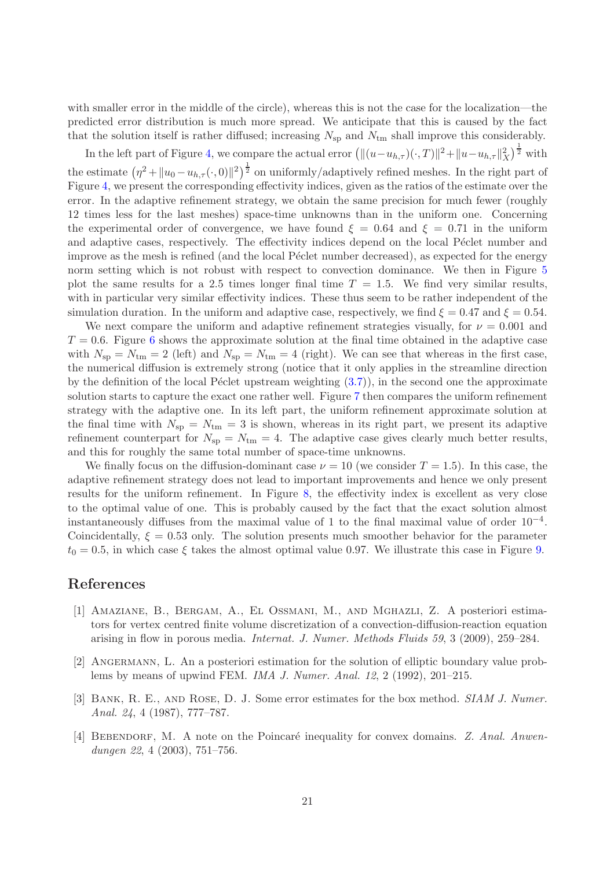with smaller error in the middle of the circle), whereas this is not the case for the localization—the predicted error distribution is much more spread. We anticipate that this is caused by the fact that the solution itself is rather diffused; increasing  $N_{\rm{sp}}$  and  $N_{\rm{tm}}$  shall improve this considerably.

In the left part of Figure [4,](#page-22-1) we compare the actual error  $(\|(u-u_{h,\tau})(\cdot,T)\|^2 + \|u-u_{h,\tau}\|_X^2)^{\frac{1}{2}}$  with the estimate  $(\eta^2 + \|u_0 - u_{h,\tau}(\cdot, 0)\|^2)^{\frac{1}{2}}$  on uniformly/adaptively refined meshes. In the right part of Figure [4,](#page-22-1) we present the corresponding effectivity indices, given as the ratios of the estimate over the error. In the adaptive refinement strategy, we obtain the same precision for much fewer (roughly 12 times less for the last meshes) space-time unknowns than in the uniform one. Concerning the experimental order of convergence, we have found  $\xi = 0.64$  and  $\xi = 0.71$  in the uniform and adaptive cases, respectively. The effectivity indices depend on the local Péclet number and improve as the mesh is refined (and the local Péclet number decreased), as expected for the energy norm setting which is not robust with respect to convection dominance. We then in Figure [5](#page-22-2) plot the same results for a 2.5 times longer final time  $T = 1.5$ . We find very similar results, with in particular very similar effectivity indices. These thus seem to be rather independent of the simulation duration. In the uniform and adaptive case, respectively, we find  $\xi = 0.47$  and  $\xi = 0.54$ .

We next compare the uniform and adaptive refinement strategies visually, for  $\nu = 0.001$  and  $T = 0.6$  $T = 0.6$ . Figure 6 shows the approximate solution at the final time obtained in the adaptive case with  $N_{\rm sp} = N_{\rm tm} = 2$  (left) and  $N_{\rm sp} = N_{\rm tm} = 4$  (right). We can see that whereas in the first case, the numerical diffusion is extremely strong (notice that it only applies in the streamline direction by the definition of the local Péclet upstream weighting  $(3.7)$ ), in the second one the approximate solution starts to capture the exact one rather well. Figure [7](#page-23-0) then compares the uniform refinement strategy with the adaptive one. In its left part, the uniform refinement approximate solution at the final time with  $N_{\rm sp} = N_{\rm tm} = 3$  is shown, whereas in its right part, we present its adaptive refinement counterpart for  $N_{\rm sp} = N_{\rm tm} = 4$ . The adaptive case gives clearly much better results, and this for roughly the same total number of space-time unknowns.

We finally focus on the diffusion-dominant case  $\nu = 10$  (we consider  $T = 1.5$ ). In this case, the adaptive refinement strategy does not lead to important improvements and hence we only present results for the uniform refinement. In Figure [8,](#page-23-1) the effectivity index is excellent as very close to the optimal value of one. This is probably caused by the fact that the exact solution almost instantaneously diffuses from the maximal value of 1 to the final maximal value of order  $10^{-4}$ . Coincidentally,  $\xi = 0.53$  only. The solution presents much smoother behavior for the parameter  $t_0 = 0.5$ , in which case  $\xi$  takes the almost optimal value 0.97. We illustrate this case in Figure [9.](#page-23-2)

# <span id="page-20-1"></span>References

- [1] Amaziane, B., Bergam, A., El Ossmani, M., and Mghazli, Z. A posteriori estimators for vertex centred finite volume discretization of a convection-diffusion-reaction equation arising in flow in porous media. Internat. J. Numer. Methods Fluids 59, 3 (2009), 259–284.
- <span id="page-20-0"></span>[2] Angermann, L. An a posteriori estimation for the solution of elliptic boundary value problems by means of upwind FEM. IMA J. Numer. Anal. 12, 2 (1992), 201–215.
- <span id="page-20-2"></span>[3] BANK, R. E., AND ROSE, D. J. Some error estimates for the box method. SIAM J. Numer. Anal. 24, 4 (1987), 777–787.
- <span id="page-20-3"></span>[4] BEBENDORF, M. A note on the Poincaré inequality for convex domains. Z. Anal. Anwendungen 22, 4 (2003), 751–756.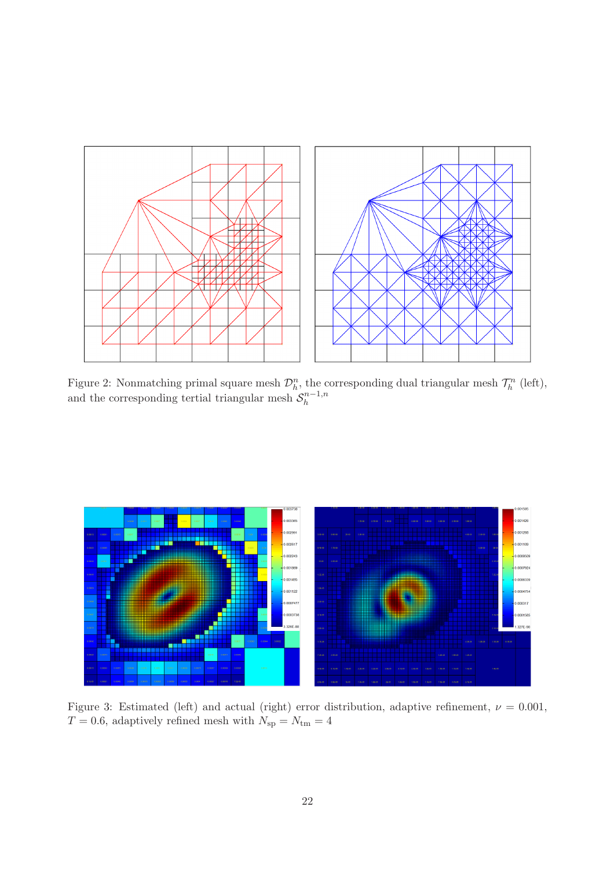

<span id="page-21-0"></span>Figure 2: Nonmatching primal square mesh  $\mathcal{D}_h^n$ , the corresponding dual triangular mesh  $\mathcal{T}_h^n$  (left), and the corresponding tertial triangular mesh  $S_h^{n-1,n}$ h



<span id="page-21-1"></span>Figure 3: Estimated (left) and actual (right) error distribution, adaptive refinement,  $\nu = 0.001$ ,  $T = 0.6$ , adaptively refined mesh with  $N_{\text{sp}} = N_{\text{tm}} = 4$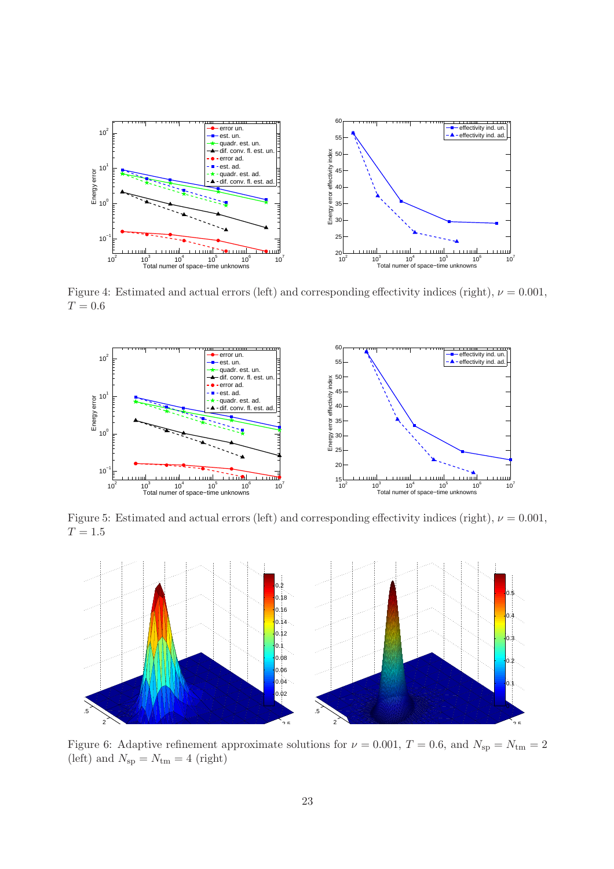

<span id="page-22-1"></span>Figure 4: Estimated and actual errors (left) and corresponding effectivity indices (right),  $\nu = 0.001$ ,  $T = 0.6$ 



<span id="page-22-2"></span>Figure 5: Estimated and actual errors (left) and corresponding effectivity indices (right),  $\nu = 0.001$ ,  $T = 1.5$ 



<span id="page-22-0"></span>Figure 6: Adaptive refinement approximate solutions for  $\nu = 0.001, T = 0.6$ , and  $N_{\rm sp} = N_{\rm tm} = 2$ (left) and  $N_{\rm sp} = N_{\rm tm} = 4$  (right)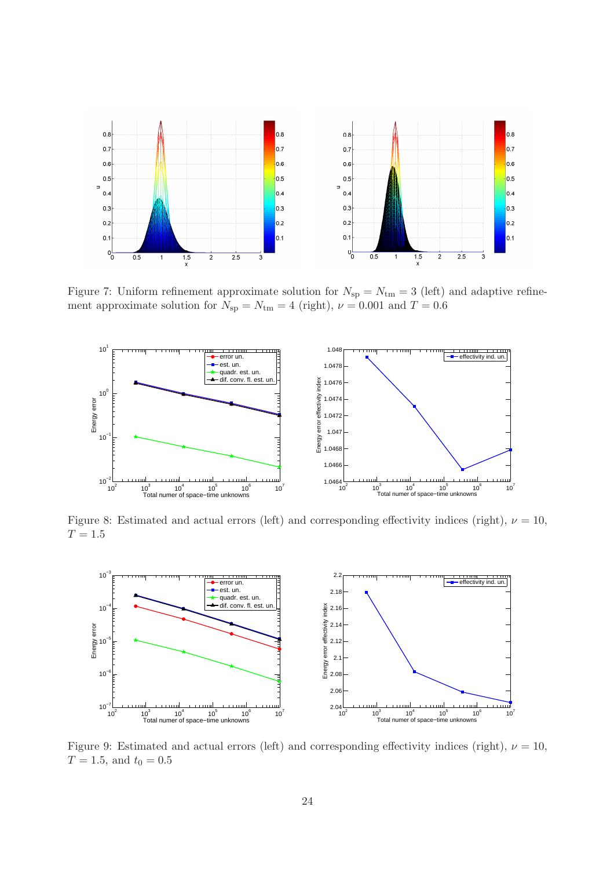

<span id="page-23-0"></span>Figure 7: Uniform refinement approximate solution for  $N_{\rm sp} = N_{\rm tm} = 3$  (left) and adaptive refinement approximate solution for  $N_{\rm sp} = N_{\rm tm} = 4$  (right),  $\nu = 0.001$  and  $T = 0.6$ 



<span id="page-23-1"></span>Figure 8: Estimated and actual errors (left) and corresponding effectivity indices (right),  $\nu = 10$ ,  $T = 1.5$ 



<span id="page-23-2"></span>Figure 9: Estimated and actual errors (left) and corresponding effectivity indices (right),  $\nu = 10$ ,  $T = 1.5$ , and  $t_0 = 0.5$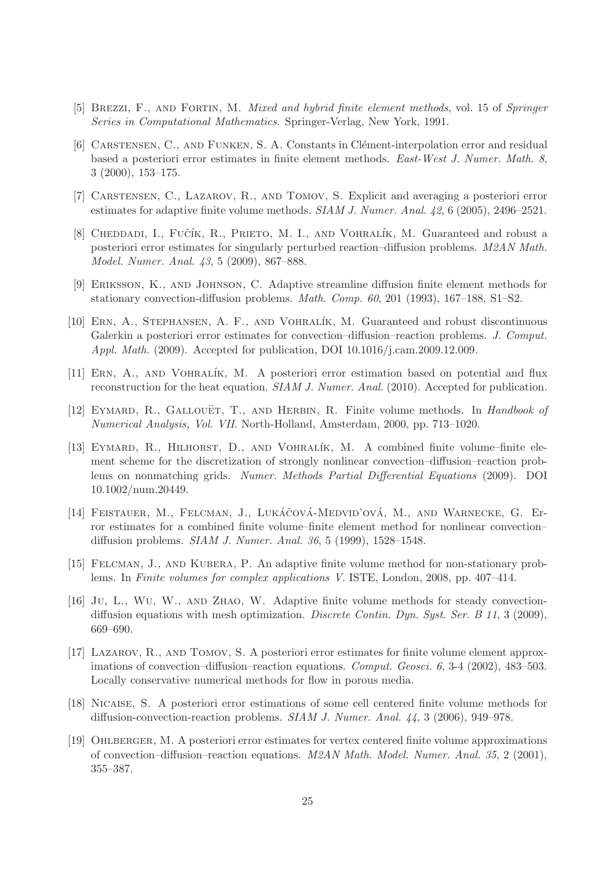- <span id="page-24-13"></span><span id="page-24-12"></span>[5] Brezzi, F., and Fortin, M. Mixed and hybrid finite element methods, vol. 15 of Springer Series in Computational Mathematics. Springer-Verlag, New York, 1991.
- [6] CARSTENSEN, C., AND FUNKEN, S. A. Constants in Clément-interpolation error and residual based a posteriori error estimates in finite element methods. East-West J. Numer. Math. 8, 3 (2000), 153–175.
- <span id="page-24-14"></span><span id="page-24-3"></span>[7] Carstensen, C., Lazarov, R., and Tomov, S. Explicit and averaging a posteriori error estimates for adaptive finite volume methods. SIAM J. Numer. Anal. 42, 6 (2005), 2496–2521.
- [8] CHEDDADI, I., FUČÍK, R., PRIETO, M. I., AND VOHRALÍK, M. Guaranteed and robust a posteriori error estimates for singularly perturbed reaction–diffusion problems. M2AN Math. Model. Numer. Anal. 43, 5 (2009), 867–888.
- <span id="page-24-8"></span><span id="page-24-1"></span>[9] Eriksson, K., and Johnson, C. Adaptive streamline diffusion finite element methods for stationary convection-diffusion problems. Math. Comp. 60, 201 (1993), 167–188, S1–S2.
- [10] Ern, A., Stephansen, A. F., and Vohral´ık, M. Guaranteed and robust discontinuous Galerkin a posteriori error estimates for convection–diffusion–reaction problems. J. Comput. Appl. Math. (2009). Accepted for publication, DOI 10.1016/j.cam.2009.12.009.
- <span id="page-24-11"></span><span id="page-24-9"></span>[11] Ern, A., and Vohral´ık, M. A posteriori error estimation based on potential and flux reconstruction for the heat equation. SIAM J. Numer. Anal. (2010). Accepted for publication.
- <span id="page-24-0"></span>[12] EYMARD, R., GALLOUËT, T., AND HERBIN, R. Finite volume methods. In *Handbook of* Numerical Analysis, Vol. VII. North-Holland, Amsterdam, 2000, pp. 713–1020.
- [13] EYMARD, R., HILHORST, D., AND VOHRALÍK, M. A combined finite volume–finite element scheme for the discretization of strongly nonlinear convection–diffusion–reaction problems on nonmatching grids. Numer. Methods Partial Differential Equations (2009). DOI 10.1002/num.20449.
- <span id="page-24-10"></span>[14] FEISTAUER, M., FELCMAN, J., LUKÁČOVÁ-MEDVID'OVÁ, M., AND WARNECKE, G. Error estimates for a combined finite volume–finite element method for nonlinear convection– diffusion problems. SIAM J. Numer. Anal. 36, 5 (1999), 1528–1548.
- <span id="page-24-7"></span><span id="page-24-5"></span>[15] Felcman, J., and Kubera, P. An adaptive finite volume method for non-stationary problems. In Finite volumes for complex applications V. ISTE, London, 2008, pp. 407–414.
- [16] Ju, L., Wu, W., and Zhao, W. Adaptive finite volume methods for steady convectiondiffusion equations with mesh optimization. Discrete Contin. Dyn. Syst. Ser. B 11, 3 (2009), 669–690.
- <span id="page-24-2"></span>[17] Lazarov, R., and Tomov, S. A posteriori error estimates for finite volume element approximations of convection–diffusion–reaction equations. Comput. Geosci. 6, 3-4 (2002), 483–503. Locally conservative numerical methods for flow in porous media.
- <span id="page-24-4"></span>[18] Nicaise, S. A posteriori error estimations of some cell centered finite volume methods for diffusion-convection-reaction problems. SIAM J. Numer. Anal. 44, 3 (2006), 949–978.
- <span id="page-24-6"></span>[19] Ohlberger, M. A posteriori error estimates for vertex centered finite volume approximations of convection–diffusion–reaction equations. M2AN Math. Model. Numer. Anal. 35, 2 (2001), 355–387.